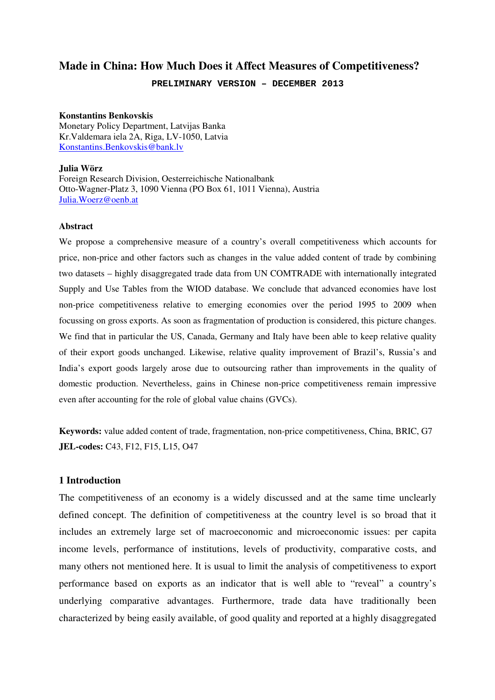# **Made in China: How Much Does it Affect Measures of Competitiveness?**

**PRELIMINARY VERSION – DECEMBER 2013** 

#### **Konstantins Benkovskis**

Monetary Policy Department, Latvijas Banka Kr.Valdemara iela 2A, Riga, LV-1050, Latvia Konstantins.Benkovskis@bank.lv

#### **Julia Wörz**

Foreign Research Division, Oesterreichische Nationalbank Otto-Wagner-Platz 3, 1090 Vienna (PO Box 61, 1011 Vienna), Austria Julia.Woerz@oenb.at

#### **Abstract**

We propose a comprehensive measure of a country's overall competitiveness which accounts for price, non-price and other factors such as changes in the value added content of trade by combining two datasets – highly disaggregated trade data from UN COMTRADE with internationally integrated Supply and Use Tables from the WIOD database. We conclude that advanced economies have lost non-price competitiveness relative to emerging economies over the period 1995 to 2009 when focussing on gross exports. As soon as fragmentation of production is considered, this picture changes. We find that in particular the US, Canada, Germany and Italy have been able to keep relative quality of their export goods unchanged. Likewise, relative quality improvement of Brazil's, Russia's and India's export goods largely arose due to outsourcing rather than improvements in the quality of domestic production. Nevertheless, gains in Chinese non-price competitiveness remain impressive even after accounting for the role of global value chains (GVCs).

**Keywords:** value added content of trade, fragmentation, non-price competitiveness, China, BRIC, G7 **JEL-codes:** C43, F12, F15, L15, O47

## **1 Introduction**

The competitiveness of an economy is a widely discussed and at the same time unclearly defined concept. The definition of competitiveness at the country level is so broad that it includes an extremely large set of macroeconomic and microeconomic issues: per capita income levels, performance of institutions, levels of productivity, comparative costs, and many others not mentioned here. It is usual to limit the analysis of competitiveness to export performance based on exports as an indicator that is well able to "reveal" a country's underlying comparative advantages. Furthermore, trade data have traditionally been characterized by being easily available, of good quality and reported at a highly disaggregated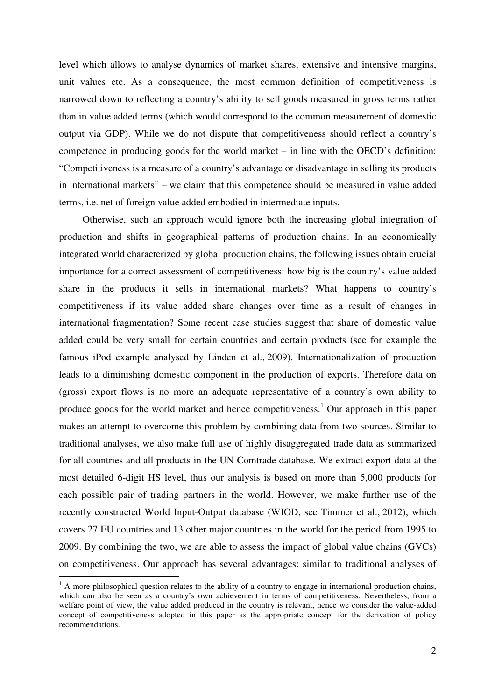level which allows to analyse dynamics of market shares, extensive and intensive margins, unit values etc. As a consequence, the most common definition of competitiveness is narrowed down to reflecting a country's ability to sell goods measured in gross terms rather than in value added terms (which would correspond to the common measurement of domestic output via GDP). While we do not dispute that competitiveness should reflect a country's competence in producing goods for the world market – in line with the OECD's definition: "Competitiveness is a measure of a country's advantage or disadvantage in selling its products in international markets" – we claim that this competence should be measured in value added terms, i.e. net of foreign value added embodied in intermediate inputs.

Otherwise, such an approach would ignore both the increasing global integration of production and shifts in geographical patterns of production chains. In an economically integrated world characterized by global production chains, the following issues obtain crucial importance for a correct assessment of competitiveness: how big is the country's value added share in the products it sells in international markets? What happens to country's competitiveness if its value added share changes over time as a result of changes in international fragmentation? Some recent case studies suggest that share of domestic value added could be very small for certain countries and certain products (see for example the famous iPod example analysed by Linden et al., 2009). Internationalization of production leads to a diminishing domestic component in the production of exports. Therefore data on (gross) export flows is no more an adequate representative of a country's own ability to produce goods for the world market and hence competitiveness.<sup>1</sup> Our approach in this paper makes an attempt to overcome this problem by combining data from two sources. Similar to traditional analyses, we also make full use of highly disaggregated trade data as summarized for all countries and all products in the UN Comtrade database. We extract export data at the most detailed 6-digit HS level, thus our analysis is based on more than 5,000 products for each possible pair of trading partners in the world. However, we make further use of the recently constructed World Input-Output database (WIOD, see Timmer et al., 2012), which covers 27 EU countries and 13 other major countries in the world for the period from 1995 to 2009. By combining the two, we are able to assess the impact of global value chains (GVCs) on competitiveness. Our approach has several advantages: similar to traditional analyses of

<sup>&</sup>lt;sup>1</sup> A more philosophical question relates to the ability of a country to engage in international production chains, which can also be seen as a country's own achievement in terms of competitiveness. Nevertheless, from a welfare point of view, the value added produced in the country is relevant, hence we consider the value-added concept of competitiveness adopted in this paper as the appropriate concept for the derivation of policy recommendations.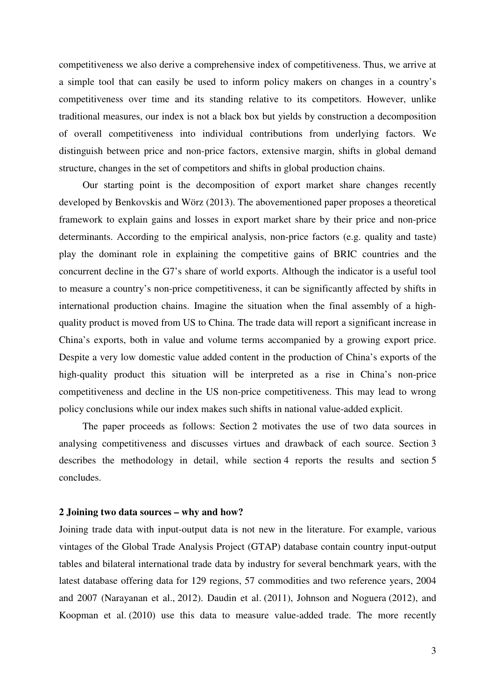competitiveness we also derive a comprehensive index of competitiveness. Thus, we arrive at a simple tool that can easily be used to inform policy makers on changes in a country's competitiveness over time and its standing relative to its competitors. However, unlike traditional measures, our index is not a black box but yields by construction a decomposition of overall competitiveness into individual contributions from underlying factors. We distinguish between price and non-price factors, extensive margin, shifts in global demand structure, changes in the set of competitors and shifts in global production chains.

Our starting point is the decomposition of export market share changes recently developed by Benkovskis and Wörz (2013). The abovementioned paper proposes a theoretical framework to explain gains and losses in export market share by their price and non-price determinants. According to the empirical analysis, non-price factors (e.g. quality and taste) play the dominant role in explaining the competitive gains of BRIC countries and the concurrent decline in the G7's share of world exports. Although the indicator is a useful tool to measure a country's non-price competitiveness, it can be significantly affected by shifts in international production chains. Imagine the situation when the final assembly of a highquality product is moved from US to China. The trade data will report a significant increase in China's exports, both in value and volume terms accompanied by a growing export price. Despite a very low domestic value added content in the production of China's exports of the high-quality product this situation will be interpreted as a rise in China's non-price competitiveness and decline in the US non-price competitiveness. This may lead to wrong policy conclusions while our index makes such shifts in national value-added explicit.

The paper proceeds as follows: Section 2 motivates the use of two data sources in analysing competitiveness and discusses virtues and drawback of each source. Section 3 describes the methodology in detail, while section 4 reports the results and section 5 concludes.

#### **2 Joining two data sources – why and how?**

Joining trade data with input-output data is not new in the literature. For example, various vintages of the Global Trade Analysis Project (GTAP) database contain country input-output tables and bilateral international trade data by industry for several benchmark years, with the latest database offering data for 129 regions, 57 commodities and two reference years, 2004 and 2007 (Narayanan et al., 2012). Daudin et al. (2011), Johnson and Noguera (2012), and Koopman et al. (2010) use this data to measure value-added trade. The more recently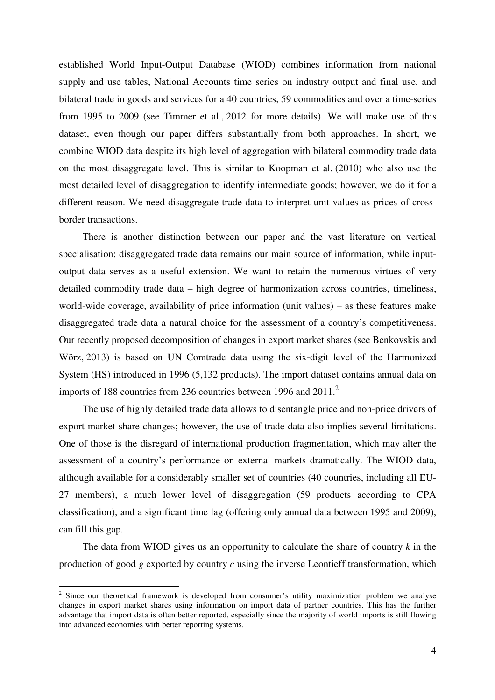established World Input-Output Database (WIOD) combines information from national supply and use tables, National Accounts time series on industry output and final use, and bilateral trade in goods and services for a 40 countries, 59 commodities and over a time-series from 1995 to 2009 (see Timmer et al., 2012 for more details). We will make use of this dataset, even though our paper differs substantially from both approaches. In short, we combine WIOD data despite its high level of aggregation with bilateral commodity trade data on the most disaggregate level. This is similar to Koopman et al. (2010) who also use the most detailed level of disaggregation to identify intermediate goods; however, we do it for a different reason. We need disaggregate trade data to interpret unit values as prices of crossborder transactions.

There is another distinction between our paper and the vast literature on vertical specialisation: disaggregated trade data remains our main source of information, while inputoutput data serves as a useful extension. We want to retain the numerous virtues of very detailed commodity trade data – high degree of harmonization across countries, timeliness, world-wide coverage, availability of price information (unit values) – as these features make disaggregated trade data a natural choice for the assessment of a country's competitiveness. Our recently proposed decomposition of changes in export market shares (see Benkovskis and Wörz, 2013) is based on UN Comtrade data using the six-digit level of the Harmonized System (HS) introduced in 1996 (5,132 products). The import dataset contains annual data on imports of 188 countries from 236 countries between 1996 and 2011.<sup>2</sup>

The use of highly detailed trade data allows to disentangle price and non-price drivers of export market share changes; however, the use of trade data also implies several limitations. One of those is the disregard of international production fragmentation, which may alter the assessment of a country's performance on external markets dramatically. The WIOD data, although available for a considerably smaller set of countries (40 countries, including all EU-27 members), a much lower level of disaggregation (59 products according to CPA classification), and a significant time lag (offering only annual data between 1995 and 2009), can fill this gap.

The data from WIOD gives us an opportunity to calculate the share of country *k* in the production of good *g* exported by country *c* using the inverse Leontieff transformation, which

<sup>&</sup>lt;sup>2</sup> Since our theoretical framework is developed from consumer's utility maximization problem we analyse changes in export market shares using information on import data of partner countries. This has the further advantage that import data is often better reported, especially since the majority of world imports is still flowing into advanced economies with better reporting systems.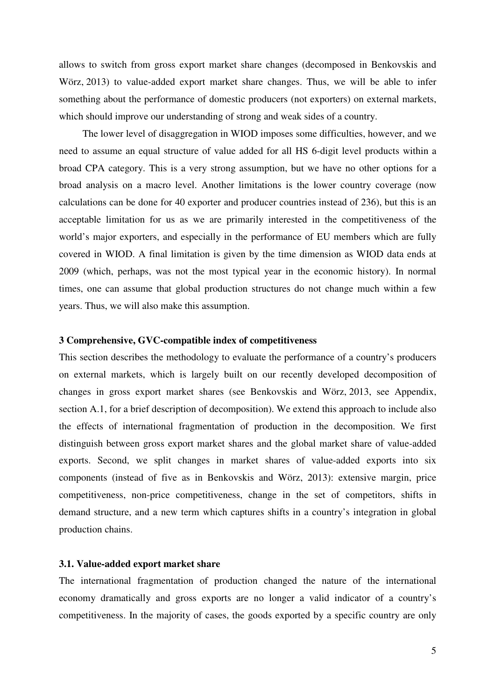allows to switch from gross export market share changes (decomposed in Benkovskis and Wörz, 2013) to value-added export market share changes. Thus, we will be able to infer something about the performance of domestic producers (not exporters) on external markets, which should improve our understanding of strong and weak sides of a country.

The lower level of disaggregation in WIOD imposes some difficulties, however, and we need to assume an equal structure of value added for all HS 6-digit level products within a broad CPA category. This is a very strong assumption, but we have no other options for a broad analysis on a macro level. Another limitations is the lower country coverage (now calculations can be done for 40 exporter and producer countries instead of 236), but this is an acceptable limitation for us as we are primarily interested in the competitiveness of the world's major exporters, and especially in the performance of EU members which are fully covered in WIOD. A final limitation is given by the time dimension as WIOD data ends at 2009 (which, perhaps, was not the most typical year in the economic history). In normal times, one can assume that global production structures do not change much within a few years. Thus, we will also make this assumption.

## **3 Comprehensive, GVC-compatible index of competitiveness**

This section describes the methodology to evaluate the performance of a country's producers on external markets, which is largely built on our recently developed decomposition of changes in gross export market shares (see Benkovskis and Wörz, 2013, see Appendix, section A.1, for a brief description of decomposition). We extend this approach to include also the effects of international fragmentation of production in the decomposition. We first distinguish between gross export market shares and the global market share of value-added exports. Second, we split changes in market shares of value-added exports into six components (instead of five as in Benkovskis and Wörz, 2013): extensive margin, price competitiveness, non-price competitiveness, change in the set of competitors, shifts in demand structure, and a new term which captures shifts in a country's integration in global production chains.

## **3.1. Value-added export market share**

The international fragmentation of production changed the nature of the international economy dramatically and gross exports are no longer a valid indicator of a country's competitiveness. In the majority of cases, the goods exported by a specific country are only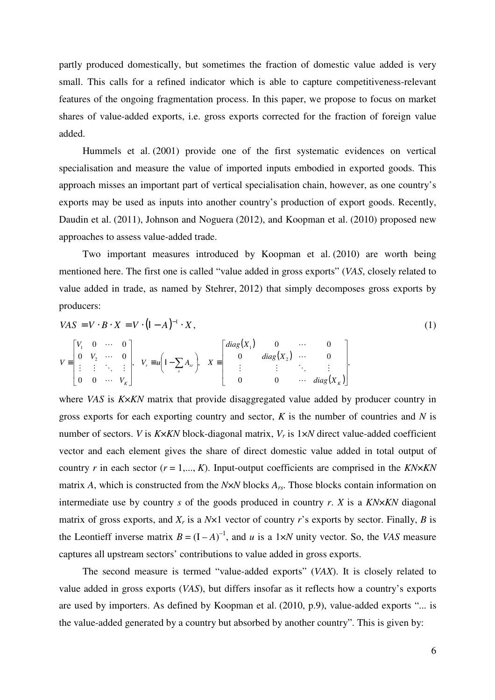partly produced domestically, but sometimes the fraction of domestic value added is very small. This calls for a refined indicator which is able to capture competitiveness-relevant features of the ongoing fragmentation process. In this paper, we propose to focus on market shares of value-added exports, i.e. gross exports corrected for the fraction of foreign value added.

Hummels et al. (2001) provide one of the first systematic evidences on vertical specialisation and measure the value of imported inputs embodied in exported goods. This approach misses an important part of vertical specialisation chain, however, as one country's exports may be used as inputs into another country's production of export goods. Recently, Daudin et al. (2011), Johnson and Noguera (2012), and Koopman et al. (2010) proposed new approaches to assess value-added trade.

Two important measures introduced by Koopman et al. (2010) are worth being mentioned here. The first one is called "value added in gross exports" (*VAS*, closely related to value added in trade, as named by Stehrer, 2012) that simply decomposes gross exports by producers:

$$
VAS = V \cdot B \cdot X = V \cdot (I - A)^{-1} \cdot X,
$$
\n
$$
V = \begin{bmatrix} V_1 & 0 & \cdots & 0 \\ 0 & V_2 & \cdots & 0 \\ \vdots & \vdots & \ddots & \vdots \\ 0 & 0 & \cdots & V_K \end{bmatrix}, \quad V_r = u \left( I - \sum_s A_{sr} \right), \quad X = \begin{bmatrix} diag(X_1) & 0 & \cdots & 0 \\ 0 & diag(X_2) & \cdots & 0 \\ \vdots & \vdots & \ddots & \vdots \\ 0 & 0 & \cdots & diag(X_K) \end{bmatrix},
$$
\n(1)

*K <sup>K</sup> diag X* L

L

J

*V* L

where *VAS* is *K*×*KN* matrix that provide disaggregated value added by producer country in gross exports for each exporting country and sector, *K* is the number of countries and *N* is number of sectors. *V* is *K*×*KN* block-diagonal matrix, *Vr* is 1×*N* direct value-added coefficient vector and each element gives the share of direct domestic value added in total output of country *r* in each sector ( $r = 1,..., K$ ). Input-output coefficients are comprised in the *KN*×*KN* matrix *A*, which is constructed from the *N*×*N* blocks *Ars*. Those blocks contain information on intermediate use by country *s* of the goods produced in country *r*. *X* is a *KN*×*KN* diagonal matrix of gross exports, and  $X_r$  is a  $N \times 1$  vector of country *r*'s exports by sector. Finally, *B* is the Leontieff inverse matrix  $B = (I - A)^{-1}$ , and *u* is a 1×*N* unity vector. So, the *VAS* measure captures all upstream sectors' contributions to value added in gross exports.

The second measure is termed "value-added exports" (*VAX*). It is closely related to value added in gross exports (*VAS*), but differs insofar as it reflects how a country's exports are used by importers. As defined by Koopman et al. (2010, p.9), value-added exports "... is the value-added generated by a country but absorbed by another country". This is given by: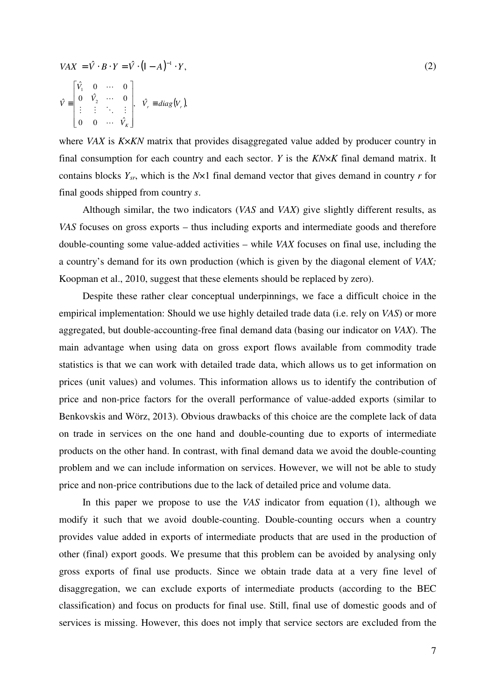$$
VAX = \hat{V} \cdot B \cdot Y = \hat{V} \cdot (I - A)^{-1} \cdot Y,
$$
  
\n
$$
\hat{V} = \begin{bmatrix} \hat{V}_1 & 0 & \cdots & 0 \\ 0 & \hat{V}_2 & \cdots & 0 \\ \vdots & \vdots & \ddots & \vdots \\ 0 & 0 & \cdots & \hat{V}_K \end{bmatrix}, \quad \hat{V}_r = diag(V_r),
$$
\n(2)

where *VAX* is *K*×*KN* matrix that provides disaggregated value added by producer country in final consumption for each country and each sector. *Y* is the *KN*×*K* final demand matrix. It contains blocks *Ysr*, which is the *N*×1 final demand vector that gives demand in country *r* for final goods shipped from country *s*.

Although similar, the two indicators (*VAS* and *VAX*) give slightly different results, as *VAS* focuses on gross exports – thus including exports and intermediate goods and therefore double-counting some value-added activities – while *VAX* focuses on final use, including the a country's demand for its own production (which is given by the diagonal element of *VAX;* Koopman et al., 2010, suggest that these elements should be replaced by zero).

Despite these rather clear conceptual underpinnings, we face a difficult choice in the empirical implementation: Should we use highly detailed trade data (i.e. rely on *VAS*) or more aggregated, but double-accounting-free final demand data (basing our indicator on *VAX*). The main advantage when using data on gross export flows available from commodity trade statistics is that we can work with detailed trade data, which allows us to get information on prices (unit values) and volumes. This information allows us to identify the contribution of price and non-price factors for the overall performance of value-added exports (similar to Benkovskis and Wörz, 2013). Obvious drawbacks of this choice are the complete lack of data on trade in services on the one hand and double-counting due to exports of intermediate products on the other hand. In contrast, with final demand data we avoid the double-counting problem and we can include information on services. However, we will not be able to study price and non-price contributions due to the lack of detailed price and volume data.

In this paper we propose to use the *VAS* indicator from equation (1), although we modify it such that we avoid double-counting. Double-counting occurs when a country provides value added in exports of intermediate products that are used in the production of other (final) export goods. We presume that this problem can be avoided by analysing only gross exports of final use products. Since we obtain trade data at a very fine level of disaggregation, we can exclude exports of intermediate products (according to the BEC classification) and focus on products for final use. Still, final use of domestic goods and of services is missing. However, this does not imply that service sectors are excluded from the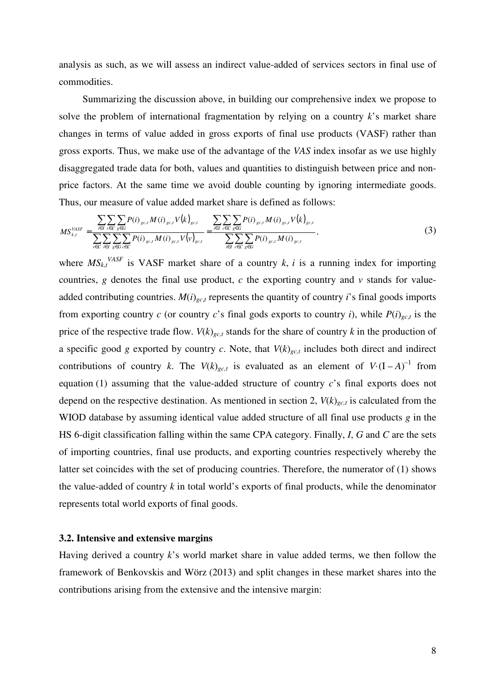analysis as such, as we will assess an indirect value-added of services sectors in final use of commodities.

Summarizing the discussion above, in building our comprehensive index we propose to solve the problem of international fragmentation by relying on a country *k*'s market share changes in terms of value added in gross exports of final use products (VASF) rather than gross exports. Thus, we make use of the advantage of the *VAS* index insofar as we use highly disaggregated trade data for both, values and quantities to distinguish between price and nonprice factors. At the same time we avoid double counting by ignoring intermediate goods. Thus, our measure of value added market share is defined as follows:

$$
MS_{k,t}^{VASF} = \frac{\sum_{i \in I} \sum_{c \in C} \sum_{g \in G} P(i)_{g c, l} M(i)_{g c, l} V(k)_{g c, l}}{\sum_{v \in C} \sum_{i \in I} \sum_{g \in G} \sum_{c \in C} P(i)_{g c, l} M(i)_{g c, l} V(v)_{g c, l}} = \frac{\sum_{i \in I} \sum_{c \in C} \sum_{g \in G} P(i)_{g c, l} M(i)_{g c, l} V(k)_{g c, l}}{\sum_{i \in I} \sum_{c \in C} \sum_{g \in G} P(i)_{g c, l} M(i)_{g c, l}},
$$
\n(3)

where  $MS_{k,t}^{VASF}$  is VASF market share of a country *k*, *i* is a running index for importing countries,  $g$  denotes the final use product,  $c$  the exporting country and  $v$  stands for valueadded contributing countries. *M*(*i*)*gc*,*<sup>t</sup>* represents the quantity of country *i*'s final goods imports from exporting country *c* (or country *c*'s final gods exports to country *i*), while  $P(i)_{g,c,t}$  is the price of the respective trade flow.  $V(k)_{\nu c}$  stands for the share of country k in the production of a specific good *g* exported by country *c*. Note, that  $V(k)_{gc,t}$  includes both direct and indirect contributions of country *k*. The  $V(k)_{gct}$  is evaluated as an element of  $V \cdot (I - A)^{-1}$  from equation (1) assuming that the value-added structure of country *c*'s final exports does not depend on the respective destination. As mentioned in section 2,  $V(k)_{gc,t}$  is calculated from the WIOD database by assuming identical value added structure of all final use products *g* in the HS 6-digit classification falling within the same CPA category. Finally, *I*, *G* and *C* are the sets of importing countries, final use products, and exporting countries respectively whereby the latter set coincides with the set of producing countries. Therefore, the numerator of (1) shows the value-added of country *k* in total world's exports of final products, while the denominator represents total world exports of final goods.

#### **3.2. Intensive and extensive margins**

Having derived a country *k*'s world market share in value added terms, we then follow the framework of Benkovskis and Wörz (2013) and split changes in these market shares into the contributions arising from the extensive and the intensive margin: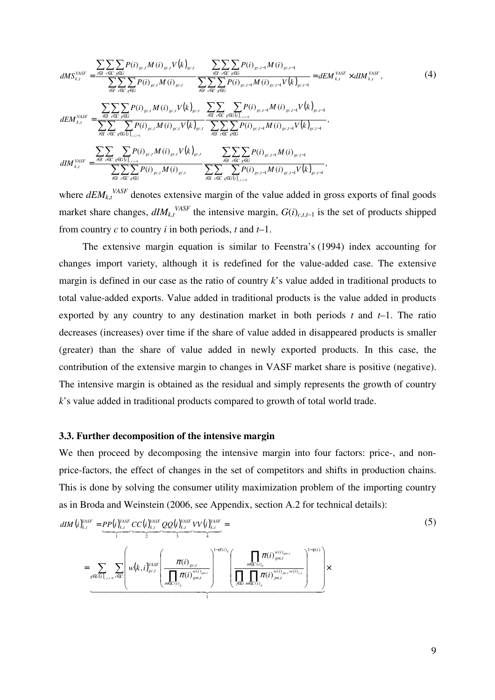$$
dMS_{k,t}^{VASF} = \frac{\sum_{i \in I} \sum_{c \in C} P(i)_{gc,t} M(i)_{gc,t} V(k)_{gc,t}}{\sum_{i \in I} \sum_{c \in C} \sum_{g \in G} P(i)_{gc,t-1} M(i)_{gc,t-1}} = dEM_{k,t}^{VASF} \times dIM_{k,t}^{VASF},
$$
\n
$$
dEM_{k,t}^{VASF} = \frac{\sum_{i \in I} \sum_{c \in C} P(i)_{gc,t} M(i)_{gc,t} V(k)_{gc,t}}{\sum_{i \in I} \sum_{c \in C} \sum_{g \in G} P(i)_{gc,t-1} M(i)_{gc,t-1} V(k)_{gc,t-1}} = dEM_{k,t}^{VASF} \times dIM_{k,t}^{VASF},
$$
\n
$$
dEM_{k,t}^{VASF} = \frac{\sum_{i \in I} \sum_{c \in C} \sum_{g \in G} P(i)_{gc,t} M(i)_{gc,t} V(k)_{gc,t}}{\sum_{i \in I} \sum_{c \in C} \sum_{g \in G} P(i)_{gc,t-1} M(i)_{gc,t-1} V(k)_{gc,t-1}},
$$
\n
$$
dIM_{k,t}^{VASF} = \frac{\sum_{i \in I} \sum_{c \in C} \sum_{g \in G(i)_{c,t+1}} P(i)_{gc,t} M(i)_{gc,t} V(k)_{gc,t}}{\sum_{i \in I} \sum_{c \in C} \sum_{g \in G} P(i)_{gc,t-1} M(i)_{gc,t-1} V(k)_{gc,t-1}},
$$
\n
$$
dIM_{k,t}^{VASF} = \frac{\sum_{i \in I} \sum_{c \in C} \sum_{g \in G(i)_{c,t+1}} P(i)_{gc,t} M(i)_{gc,t}}{\sum_{i \in I} \sum_{c \in C} \sum_{g \in G} \sum_{g \in G(i)_{c,t-1}} P(i)_{gc,t-1} M(i)_{gc,t-1} V(k)_{gc,t-1}},
$$
\n(4)

where  $dEM_{k,t}^{VASF}$  denotes extensive margin of the value added in gross exports of final goods market share changes,  $dIM_{k,t}^{VASF}$  the intensive margin,  $G(i)_{c,t,t-1}$  is the set of products shipped from country *c* to country *i* in both periods, *t* and *t*–1.

The extensive margin equation is similar to Feenstra's (1994) index accounting for changes import variety, although it is redefined for the value-added case. The extensive margin is defined in our case as the ratio of country *k*'s value added in traditional products to total value-added exports. Value added in traditional products is the value added in products exported by any country to any destination market in both periods *t* and *t*–1. The ratio decreases (increases) over time if the share of value added in disappeared products is smaller (greater) than the share of value added in newly exported products. In this case, the contribution of the extensive margin to changes in VASF market share is positive (negative). The intensive margin is obtained as the residual and simply represents the growth of country *k*'s value added in traditional products compared to growth of total world trade.

## **3.3. Further decomposition of the intensive margin**

We then proceed by decomposing the intensive margin into four factors: price-, and nonprice-factors, the effect of changes in the set of competitors and shifts in production chains. This is done by solving the consumer utility maximization problem of the importing country as in Broda and Weinstein (2006, see Appendix, section A.2 for technical details):

$$
dIM (i)^{VAST}_{k,t} = \underbrace{PP(i)^{VAST}_{k,t}}_{1} \underbrace{CC(i)^{VAST}_{2}}_{2} \underbrace{QQ(i)^{VAST}_{3}}_{3} \underbrace{VV(i)^{VAST}_{4}}_{4} =
$$
\n
$$
= \underbrace{\sum_{g \in G(i)_{k,t-1} \text{ ceC}} \sum_{\text{ceC}} \left( w(k,i)^{VAST}_{gct} \left( \frac \pi {\prod_{m \in C(i)_{gnt}} \pi(i)^{w(i)_{gm,t}}_{gm,t}} \right)^{1-\sigma(i)_{g}} \left( \frac {\prod_{m \in C(i)_{gnt}} \pi(i)^{w(i)_{gm,t}}_{gm,t}} {\prod_{j \in G} \prod_{m \in C(i)_{g}} \pi(i)^{w(i)_{jm,t}}_{jm,t}} \right)^{1-\gamma(i)} \right) \times
$$
\n
$$
(5)
$$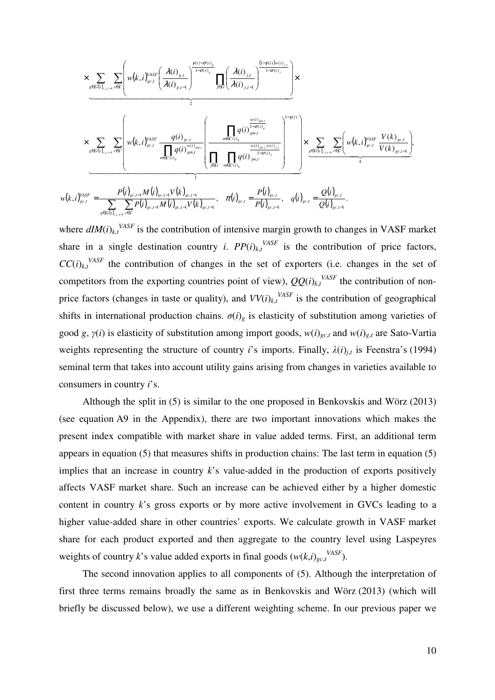$$
\times \sum_{g \in G(i)_{c,t-1}} \sum_{c \in C} \left( w(k,i)_{g \in J}^{VASF} \left( \frac{\lambda(i)_{g,t}}{\lambda(i)_{g,t-1}} \right)^{\frac{\gamma(i)-\sigma(i)_{g}}{1-\sigma(i)_{g}}} \prod_{j \in G} \left( \frac{\lambda(i)_{j,t}}{\lambda(i)_{j,t-1}} \right)^{\frac{(1-\gamma(i))w(i)_{j,t}}{1-\sigma(i)_{j}}} \right) \times \sum_{g \in G(i)_{c,t-1}} \sum_{c \in C} \left( w(k,i)_{g \in J}^{VASF} \frac{q(i)_{g \in J}}{\prod_{m \in C(i)_{g}} q(i)_{g m, J}} \left( \frac{\prod_{m \in C(i)_{g}} q(i)_{g m, J}}{\prod_{m \in C(i)_{g}} \prod_{m \in C(i)_{g}} q(i)_{g m, J}} \right)^{1-\gamma(i)} \right) \times \sum_{g \in G(i)_{c,t-1}} \sum_{c \in C} \left( w(k,i)_{g \in J}^{VASF} \frac{V(k)_{g \in J}}{V(k)_{g \in J}} \right)^{\frac{\gamma(i)-\sigma(i)_{g}}{1-\sigma(i)_{g}} \frac{\frac{W(i)_{g m, J}}{\prod_{j \in G} q(i)_{g m, J}} \left( \prod_{j \in G} q(i)_{g m, J}^{V(i)_{j,t-1}} \right)^{1-\gamma(i)}}}{\frac{\gamma(i)_{g \in J}}{\gamma(i)_{g \in J}} \sum_{g \in G(i)_{c,t-1}} \frac{P(i)_{g \in J}}{\prod_{g \in G(i)_{g,t-1}} \frac{\gamma(i)_{g m, J}}{\prod_{j \in G} q(i)_{g m, J}} \prod_{j \in G(i)_{g,t-1}} \frac{P(i)_{g \in J}}{\prod_{j \in J}} \frac{P(i)_{g \in J}}{\prod_{j \in J}}}{\frac{\gamma(i)_{g \in J}}{\prod_{j \in J}} \frac{\gamma(i)_{g m, J}}{\prod_{j \in J}} \prod_{j \in J}} \frac{P(i)_{g \in J}}{\prod_{j \in J}}}{\frac{\gamma(i)_{g \in J}}{\prod_{j \in J}} \frac{\gamma(i)_{g m, J}}{\prod_{j \in J}} \prod_{j \in J}} \frac{P(i)_{g \in J}}{\prod_{j \in J}}}{\frac{\gamma(i)_{g \in J}}{\
$$

*c t t*

where  $dIM(i)_{k,t}$ <sup>VASF</sup> is the contribution of intensive margin growth to changes in VASF market share in a single destination country *i*.  $PP(i)_{k,t}$ <sup>VASF</sup> is the contribution of price factors,  $CC(i)_{k,t}$ <sup>VASF</sup> the contribution of changes in the set of exporters (i.e. changes in the set of competitors from the exporting countries point of view),  $QQ(i)_{k,t}^{VASF}$  the contribution of nonprice factors (changes in taste or quality), and  $VV(i)_{k,t}^{VASF}$  is the contribution of geographical shifts in international production chains.  $\sigma(i)$ <sub>g</sub> is elasticity of substitution among varieties of good *g*,  $\gamma(i)$  is elasticity of substitution among import goods,  $w(i)_{g,c,t}$  and  $w(i)_{g,t}$  are Sato-Vartia weights representing the structure of country *i*'s imports. Finally,  $\lambda(i)_{j,t}$  is Feenstra's (1994) seminal term that takes into account utility gains arising from changes in varieties available to consumers in country *i*'s.

 $gc, t-1$ 

Although the split in (5) is similar to the one proposed in Benkovskis and Wörz (2013) (see equation A9 in the Appendix), there are two important innovations which makes the present index compatible with market share in value added terms. First, an additional term appears in equation (5) that measures shifts in production chains: The last term in equation (5) implies that an increase in country  $k$ 's value-added in the production of exports positively affects VASF market share. Such an increase can be achieved either by a higher domestic content in country *k*'s gross exports or by more active involvement in GVCs leading to a higher value-added share in other countries' exports. We calculate growth in VASF market share for each product exported and then aggregate to the country level using Laspeyres weights of country *k*'s value added exports in final goods  $(w(k,i)_{gc,t}^{VASF})$ .

The second innovation applies to all components of (5). Although the interpretation of first three terms remains broadly the same as in Benkovskis and Wörz (2013) (which will briefly be discussed below), we use a different weighting scheme. In our previous paper we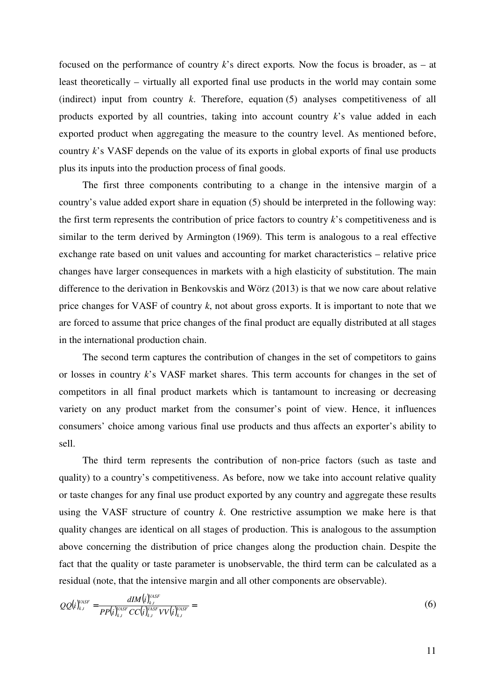focused on the performance of country *k*'s direct exports*.* Now the focus is broader, as – at least theoretically – virtually all exported final use products in the world may contain some (indirect) input from country *k*. Therefore, equation (5) analyses competitiveness of all products exported by all countries, taking into account country *k*'s value added in each exported product when aggregating the measure to the country level. As mentioned before, country *k*'s VASF depends on the value of its exports in global exports of final use products plus its inputs into the production process of final goods.

The first three components contributing to a change in the intensive margin of a country's value added export share in equation (5) should be interpreted in the following way: the first term represents the contribution of price factors to country *k*'s competitiveness and is similar to the term derived by Armington (1969). This term is analogous to a real effective exchange rate based on unit values and accounting for market characteristics – relative price changes have larger consequences in markets with a high elasticity of substitution. The main difference to the derivation in Benkovskis and Wörz (2013) is that we now care about relative price changes for VASF of country *k*, not about gross exports. It is important to note that we are forced to assume that price changes of the final product are equally distributed at all stages in the international production chain.

The second term captures the contribution of changes in the set of competitors to gains or losses in country *k*'s VASF market shares. This term accounts for changes in the set of competitors in all final product markets which is tantamount to increasing or decreasing variety on any product market from the consumer's point of view. Hence, it influences consumers' choice among various final use products and thus affects an exporter's ability to sell.

The third term represents the contribution of non-price factors (such as taste and quality) to a country's competitiveness. As before, now we take into account relative quality or taste changes for any final use product exported by any country and aggregate these results using the VASF structure of country *k*. One restrictive assumption we make here is that quality changes are identical on all stages of production. This is analogous to the assumption above concerning the distribution of price changes along the production chain. Despite the fact that the quality or taste parameter is unobservable, the third term can be calculated as a residual (note, that the intensive margin and all other components are observable).

$$
QQ(i)^{VASF}_{k,t} = \frac{dIM(i)^{VASF}_{k,t}}{PP(i)^{VASF}_{k,t}CC(i)^{VASF}_{k,t}VV(i)^{VASF}_{k,t}} = (6)
$$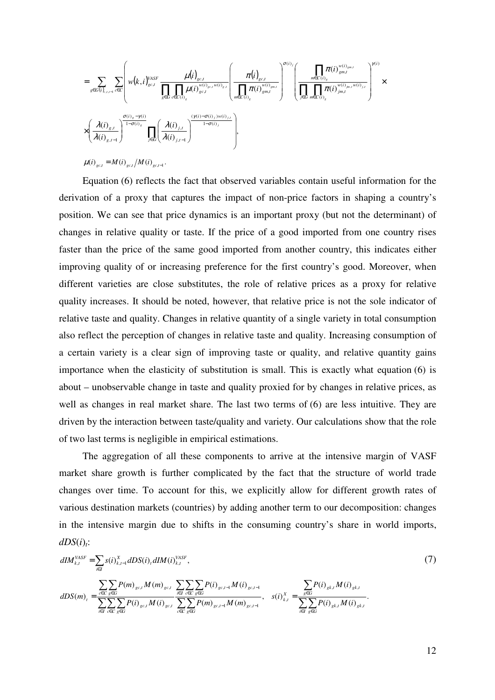$$
=\sum_{g\in G(i)_{s,t-1}}\sum_{c\in C}\left(w(k,i)^{VASF}_{gc,t}\frac{\mu(i)_{gc,t}}{\displaystyle\prod_{g\in G}\prod_{c\in C(i)_{g}}\mu(i)^{w(i)_{gc,t}w(i)_{s,t}}_{gc,t}}\left(\frac{\pi(i)_{gc,t}}{\displaystyle\prod_{m\in C(i)_{g}}\pi(i)^{w(i)_{gm,t}}_{gm,t}}\right)^{\sigma(i)}\left(\frac{\displaystyle\prod_{m\in C(i)_{g}}\pi(i)^{w(i)_{gm,t}}_{gm,t}}{\displaystyle\prod_{j\in G}\prod_{m\in C(i)_{g}}\pi(i)^{w(i)_{jm,t}w(i)_{j,t}}_{gm,t}}\right)^{\gamma(i)}\times \\ \times\left(\frac{\lambda(i)_{g,t}}{\lambda(i)_{g,t-1}}\right)^{\frac{\sigma(i)_{g}-\gamma(i)}{1-\sigma(i)_{g}}}\prod_{j\in G}\left(\frac{\lambda(i)_{j,t}}{\lambda(i)_{j,t-1}}\right)^{\left(\gamma(i)-\sigma(i)\right)jw(i)_{j,t}}\right),
$$

 $\mu(i)_{gc,t} = M(i)_{gc,t}/M(i)_{gc,t-1}.$ 

Equation (6) reflects the fact that observed variables contain useful information for the derivation of a proxy that captures the impact of non-price factors in shaping a country's position. We can see that price dynamics is an important proxy (but not the determinant) of changes in relative quality or taste. If the price of a good imported from one country rises faster than the price of the same good imported from another country, this indicates either improving quality of or increasing preference for the first country's good. Moreover, when different varieties are close substitutes, the role of relative prices as a proxy for relative quality increases. It should be noted, however, that relative price is not the sole indicator of relative taste and quality. Changes in relative quantity of a single variety in total consumption also reflect the perception of changes in relative taste and quality. Increasing consumption of a certain variety is a clear sign of improving taste or quality, and relative quantity gains importance when the elasticity of substitution is small. This is exactly what equation (6) is about – unobservable change in taste and quality proxied for by changes in relative prices, as well as changes in real market share. The last two terms of (6) are less intuitive. They are driven by the interaction between taste/quality and variety. Our calculations show that the role of two last terms is negligible in empirical estimations.

The aggregation of all these components to arrive at the intensive margin of VASF market share growth is further complicated by the fact that the structure of world trade changes over time. To account for this, we explicitly allow for different growth rates of various destination markets (countries) by adding another term to our decomposition: changes in the intensive margin due to shifts in the consuming country's share in world imports,  $dDS(i)_{t}$ :

$$
dIM_{k,t}^{VASF} = \sum_{i \in I} s(i)_{k,t-1}^{X} dDS(i)_{t} dIM(i)_{k,t}^{VASF},
$$
\n
$$
dDS(m)_{t} = \frac{\sum_{c \in C} \sum_{g \in G} P(m)_{g c,t} M(m)_{g c,t}}{\sum_{i \in I} \sum_{c \in C} \sum_{g \in G} P(i)_{g c,t} M(i)_{g c,t-1}} \sum_{c \in C} \sum_{g \in G} P(i)_{g c,t-1} M(i)_{g c,t-1}, \quad s(i)_{k,t}^{X} = \frac{\sum_{g \in G} P(i)_{g k,t} M(i)_{g k,t}}{\sum_{i \in I} \sum_{g \in G} P(i)_{g k,t} M(i)_{g k,t}}.
$$
\n(7)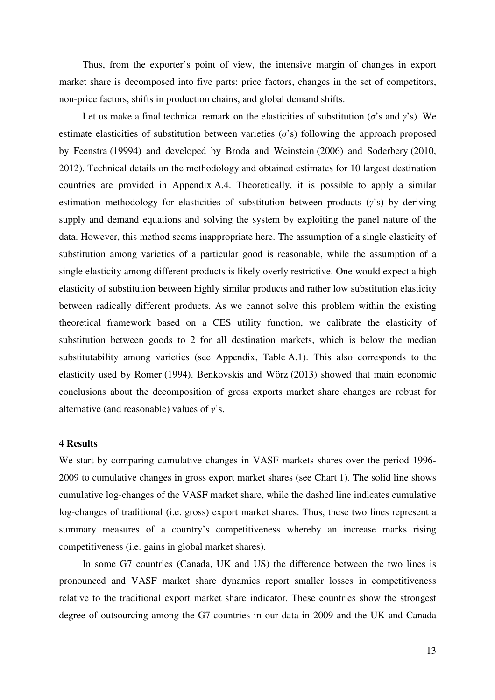Thus, from the exporter's point of view, the intensive margin of changes in export market share is decomposed into five parts: price factors, changes in the set of competitors, non-price factors, shifts in production chains, and global demand shifts.

Let us make a final technical remark on the elasticities of substitution ( $\sigma$ 's and  $\gamma$ 's). We estimate elasticities of substitution between varieties  $(\sigma)$  s) following the approach proposed by Feenstra (19994) and developed by Broda and Weinstein (2006) and Soderbery (2010, 2012). Technical details on the methodology and obtained estimates for 10 largest destination countries are provided in Appendix A.4. Theoretically, it is possible to apply a similar estimation methodology for elasticities of substitution between products (*γ*'s) by deriving supply and demand equations and solving the system by exploiting the panel nature of the data. However, this method seems inappropriate here. The assumption of a single elasticity of substitution among varieties of a particular good is reasonable, while the assumption of a single elasticity among different products is likely overly restrictive. One would expect a high elasticity of substitution between highly similar products and rather low substitution elasticity between radically different products. As we cannot solve this problem within the existing theoretical framework based on a CES utility function, we calibrate the elasticity of substitution between goods to 2 for all destination markets, which is below the median substitutability among varieties (see Appendix, Table A.1). This also corresponds to the elasticity used by Romer (1994). Benkovskis and Wörz (2013) showed that main economic conclusions about the decomposition of gross exports market share changes are robust for alternative (and reasonable) values of *γ*'s.

#### **4 Results**

We start by comparing cumulative changes in VASF markets shares over the period 1996- 2009 to cumulative changes in gross export market shares (see Chart 1). The solid line shows cumulative log-changes of the VASF market share, while the dashed line indicates cumulative log-changes of traditional (i.e. gross) export market shares. Thus, these two lines represent a summary measures of a country's competitiveness whereby an increase marks rising competitiveness (i.e. gains in global market shares).

In some G7 countries (Canada, UK and US) the difference between the two lines is pronounced and VASF market share dynamics report smaller losses in competitiveness relative to the traditional export market share indicator. These countries show the strongest degree of outsourcing among the G7-countries in our data in 2009 and the UK and Canada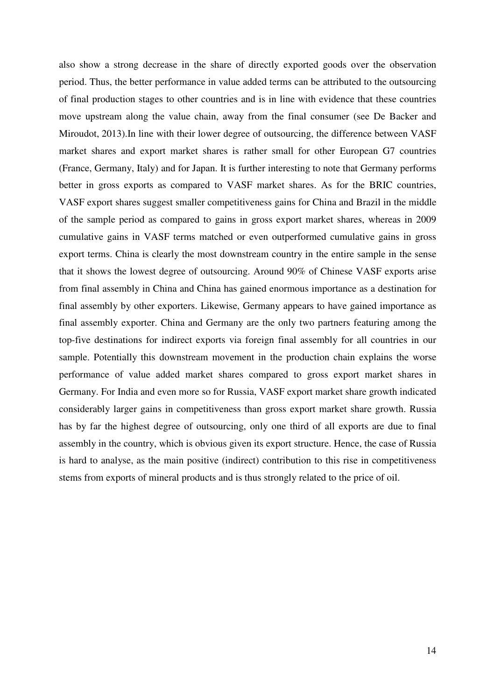also show a strong decrease in the share of directly exported goods over the observation period. Thus, the better performance in value added terms can be attributed to the outsourcing of final production stages to other countries and is in line with evidence that these countries move upstream along the value chain, away from the final consumer (see De Backer and Miroudot, 2013).In line with their lower degree of outsourcing, the difference between VASF market shares and export market shares is rather small for other European G7 countries (France, Germany, Italy) and for Japan. It is further interesting to note that Germany performs better in gross exports as compared to VASF market shares. As for the BRIC countries, VASF export shares suggest smaller competitiveness gains for China and Brazil in the middle of the sample period as compared to gains in gross export market shares, whereas in 2009 cumulative gains in VASF terms matched or even outperformed cumulative gains in gross export terms. China is clearly the most downstream country in the entire sample in the sense that it shows the lowest degree of outsourcing. Around 90% of Chinese VASF exports arise from final assembly in China and China has gained enormous importance as a destination for final assembly by other exporters. Likewise, Germany appears to have gained importance as final assembly exporter. China and Germany are the only two partners featuring among the top-five destinations for indirect exports via foreign final assembly for all countries in our sample. Potentially this downstream movement in the production chain explains the worse performance of value added market shares compared to gross export market shares in Germany. For India and even more so for Russia, VASF export market share growth indicated considerably larger gains in competitiveness than gross export market share growth. Russia has by far the highest degree of outsourcing, only one third of all exports are due to final assembly in the country, which is obvious given its export structure. Hence, the case of Russia is hard to analyse, as the main positive (indirect) contribution to this rise in competitiveness stems from exports of mineral products and is thus strongly related to the price of oil.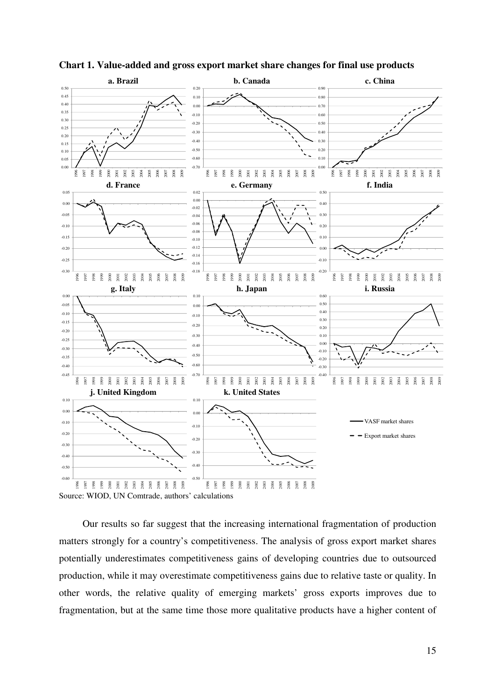

**Chart 1. Value-added and gross export market share changes for final use products** 

Our results so far suggest that the increasing international fragmentation of production matters strongly for a country's competitiveness. The analysis of gross export market shares potentially underestimates competitiveness gains of developing countries due to outsourced production, while it may overestimate competitiveness gains due to relative taste or quality. In other words, the relative quality of emerging markets' gross exports improves due to fragmentation, but at the same time those more qualitative products have a higher content of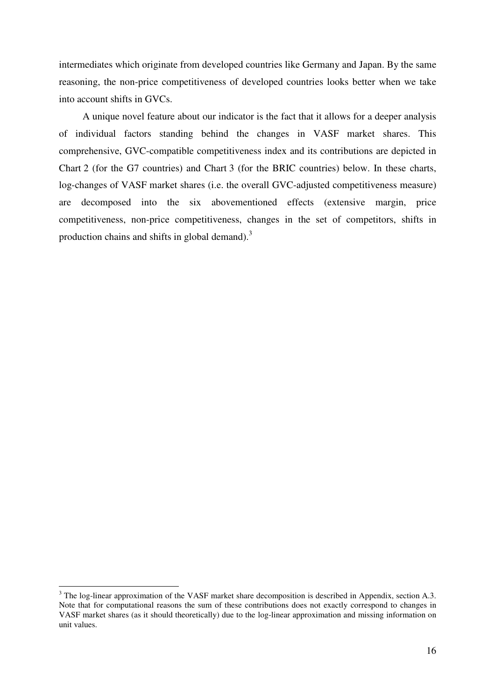intermediates which originate from developed countries like Germany and Japan. By the same reasoning, the non-price competitiveness of developed countries looks better when we take into account shifts in GVCs.

A unique novel feature about our indicator is the fact that it allows for a deeper analysis of individual factors standing behind the changes in VASF market shares. This comprehensive, GVC-compatible competitiveness index and its contributions are depicted in Chart 2 (for the G7 countries) and Chart 3 (for the BRIC countries) below. In these charts, log-changes of VASF market shares (i.e. the overall GVC-adjusted competitiveness measure) are decomposed into the six abovementioned effects (extensive margin, price competitiveness, non-price competitiveness, changes in the set of competitors, shifts in production chains and shifts in global demand). $3$ 

<sup>&</sup>lt;sup>3</sup> The log-linear approximation of the VASF market share decomposition is described in Appendix, section A.3. Note that for computational reasons the sum of these contributions does not exactly correspond to changes in VASF market shares (as it should theoretically) due to the log-linear approximation and missing information on unit values.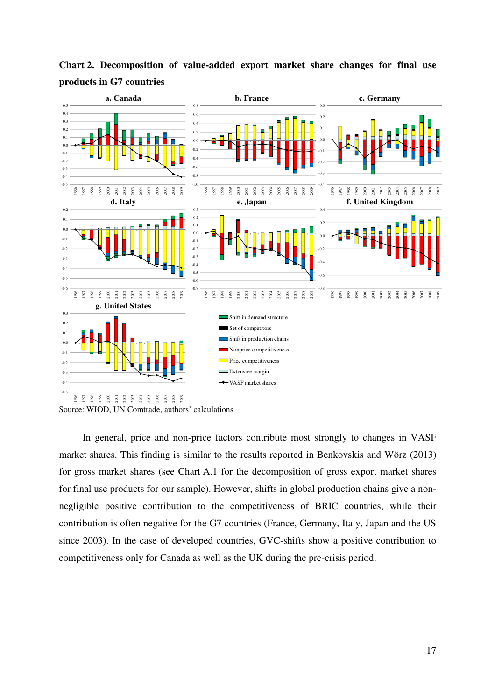

**Chart 2. Decomposition of value-added export market share changes for final use products in G7 countries** 

Source: WIOD, UN Comtrade, authors' calculations

In general, price and non-price factors contribute most strongly to changes in VASF market shares. This finding is similar to the results reported in Benkovskis and Wörz (2013) for gross market shares (see Chart A.1 for the decomposition of gross export market shares for final use products for our sample). However, shifts in global production chains give a nonnegligible positive contribution to the competitiveness of BRIC countries, while their contribution is often negative for the G7 countries (France, Germany, Italy, Japan and the US since 2003). In the case of developed countries, GVC-shifts show a positive contribution to competitiveness only for Canada as well as the UK during the pre-crisis period.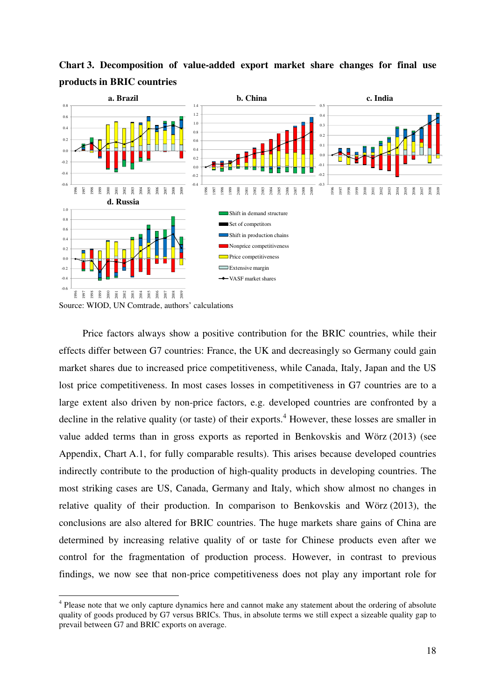

**Chart 3. Decomposition of value-added export market share changes for final use products in BRIC countries** 

Source: WIOD, UN Comtrade, authors' calculations

Price factors always show a positive contribution for the BRIC countries, while their effects differ between G7 countries: France, the UK and decreasingly so Germany could gain market shares due to increased price competitiveness, while Canada, Italy, Japan and the US lost price competitiveness. In most cases losses in competitiveness in G7 countries are to a large extent also driven by non-price factors, e.g. developed countries are confronted by a decline in the relative quality (or taste) of their exports.<sup>4</sup> However, these losses are smaller in value added terms than in gross exports as reported in Benkovskis and Wörz (2013) (see Appendix, Chart A.1, for fully comparable results). This arises because developed countries indirectly contribute to the production of high-quality products in developing countries. The most striking cases are US, Canada, Germany and Italy, which show almost no changes in relative quality of their production. In comparison to Benkovskis and Wörz (2013), the conclusions are also altered for BRIC countries. The huge markets share gains of China are determined by increasing relative quality of or taste for Chinese products even after we control for the fragmentation of production process. However, in contrast to previous findings, we now see that non-price competitiveness does not play any important role for

 $\overline{a}$ <sup>4</sup> Please note that we only capture dynamics here and cannot make any statement about the ordering of absolute quality of goods produced by G7 versus BRICs. Thus, in absolute terms we still expect a sizeable quality gap to prevail between G7 and BRIC exports on average.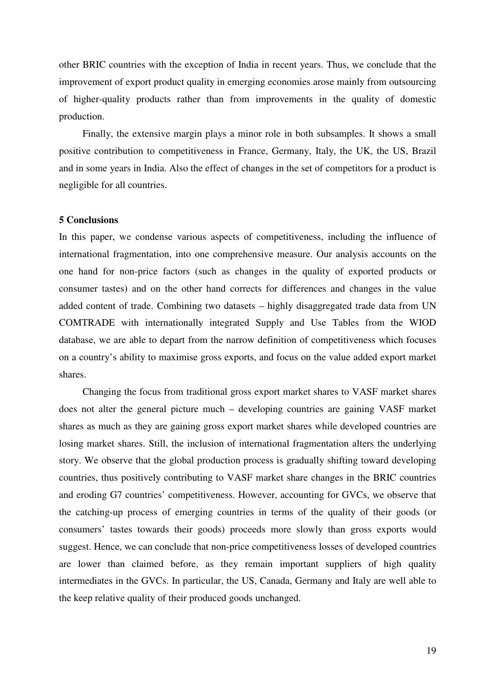other BRIC countries with the exception of India in recent years. Thus, we conclude that the improvement of export product quality in emerging economies arose mainly from outsourcing of higher-quality products rather than from improvements in the quality of domestic production.

Finally, the extensive margin plays a minor role in both subsamples. It shows a small positive contribution to competitiveness in France, Germany, Italy, the UK, the US, Brazil and in some years in India. Also the effect of changes in the set of competitors for a product is negligible for all countries.

### **5 Conclusions**

In this paper, we condense various aspects of competitiveness, including the influence of international fragmentation, into one comprehensive measure. Our analysis accounts on the one hand for non-price factors (such as changes in the quality of exported products or consumer tastes) and on the other hand corrects for differences and changes in the value added content of trade. Combining two datasets – highly disaggregated trade data from UN COMTRADE with internationally integrated Supply and Use Tables from the WIOD database, we are able to depart from the narrow definition of competitiveness which focuses on a country's ability to maximise gross exports, and focus on the value added export market shares.

Changing the focus from traditional gross export market shares to VASF market shares does not alter the general picture much – developing countries are gaining VASF market shares as much as they are gaining gross export market shares while developed countries are losing market shares. Still, the inclusion of international fragmentation alters the underlying story. We observe that the global production process is gradually shifting toward developing countries, thus positively contributing to VASF market share changes in the BRIC countries and eroding G7 countries' competitiveness. However, accounting for GVCs, we observe that the catching-up process of emerging countries in terms of the quality of their goods (or consumers' tastes towards their goods) proceeds more slowly than gross exports would suggest. Hence, we can conclude that non-price competitiveness losses of developed countries are lower than claimed before, as they remain important suppliers of high quality intermediates in the GVCs. In particular, the US, Canada, Germany and Italy are well able to the keep relative quality of their produced goods unchanged.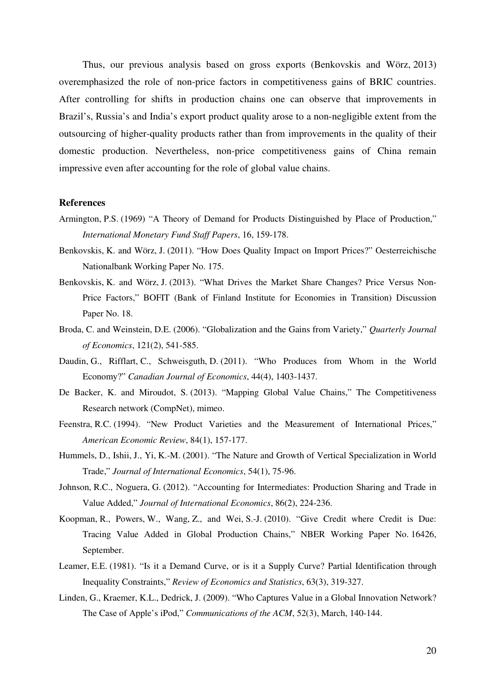Thus, our previous analysis based on gross exports (Benkovskis and Wörz, 2013) overemphasized the role of non-price factors in competitiveness gains of BRIC countries. After controlling for shifts in production chains one can observe that improvements in Brazil's, Russia's and India's export product quality arose to a non-negligible extent from the outsourcing of higher-quality products rather than from improvements in the quality of their domestic production. Nevertheless, non-price competitiveness gains of China remain impressive even after accounting for the role of global value chains.

#### **References**

- Armington, P.S. (1969) "A Theory of Demand for Products Distinguished by Place of Production," *International Monetary Fund Staff Papers*, 16, 159-178.
- Benkovskis, K. and Wörz, J. (2011). "How Does Quality Impact on Import Prices?" Oesterreichische Nationalbank Working Paper No. 175.
- Benkovskis, K. and Wörz, J. (2013). "What Drives the Market Share Changes? Price Versus Non-Price Factors," BOFIT (Bank of Finland Institute for Economies in Transition) Discussion Paper No. 18.
- Broda, C. and Weinstein, D.E. (2006). "Globalization and the Gains from Variety," *Quarterly Journal of Economics*, 121(2), 541-585.
- Daudin, G., Rifflart, C., Schweisguth, D. (2011). "Who Produces from Whom in the World Economy?" *Canadian Journal of Economics*, 44(4), 1403-1437.
- De Backer, K. and Miroudot, S. (2013). "Mapping Global Value Chains," The Competitiveness Research network (CompNet), mimeo.
- Feenstra, R.C. (1994). "New Product Varieties and the Measurement of International Prices," *American Economic Review*, 84(1), 157-177.
- Hummels, D., Ishii, J., Yi, K.-M. (2001). "The Nature and Growth of Vertical Specialization in World Trade," *Journal of International Economics*, 54(1), 75-96.
- Johnson, R.C., Noguera, G. (2012). "Accounting for Intermediates: Production Sharing and Trade in Value Added," *Journal of International Economics*, 86(2), 224-236.
- Koopman, R., Powers, W., Wang, Z., and Wei, S.-J. (2010). "Give Credit where Credit is Due: Tracing Value Added in Global Production Chains," NBER Working Paper No. 16426, September.
- Leamer, E.E. (1981). "Is it a Demand Curve, or is it a Supply Curve? Partial Identification through Inequality Constraints," *Review of Economics and Statistics*, 63(3), 319-327.
- Linden, G., Kraemer, K.L., Dedrick, J. (2009). "Who Captures Value in a Global Innovation Network? The Case of Apple's iPod," *Communications of the ACM*, 52(3), March, 140-144.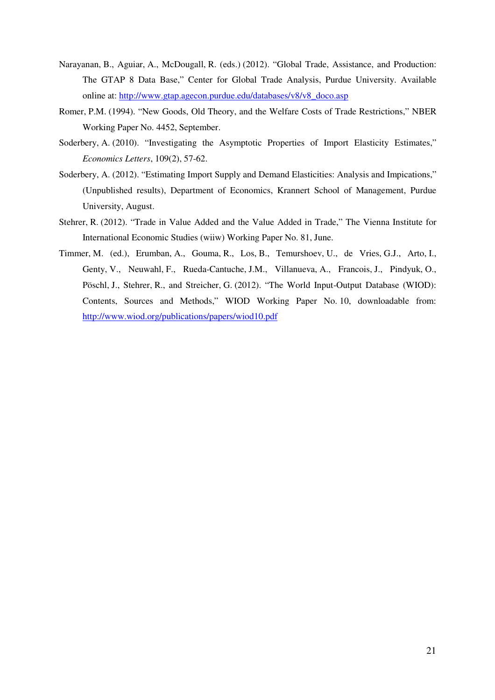- Narayanan, B., Aguiar, A., McDougall, R. (eds.) (2012). "Global Trade, Assistance, and Production: The GTAP 8 Data Base," Center for Global Trade Analysis, Purdue University. Available online at: http://www.gtap.agecon.purdue.edu/databases/v8/v8\_doco.asp
- Romer, P.M. (1994). "New Goods, Old Theory, and the Welfare Costs of Trade Restrictions," NBER Working Paper No. 4452, September.
- Soderbery, A. (2010). "Investigating the Asymptotic Properties of Import Elasticity Estimates," *Economics Letters*, 109(2), 57-62.
- Soderbery, A. (2012). "Estimating Import Supply and Demand Elasticities: Analysis and Impications," (Unpublished results), Department of Economics, Krannert School of Management, Purdue University, August.
- Stehrer, R. (2012). "Trade in Value Added and the Value Added in Trade," The Vienna Institute for International Economic Studies (wiiw) Working Paper No. 81, June.
- Timmer, M. (ed.), Erumban, A., Gouma, R., Los, B., Temurshoev, U., de Vries, G.J., Arto, I., Genty, V., Neuwahl, F., Rueda-Cantuche, J.M., Villanueva, A., Francois, J., Pindyuk, O., Pöschl, J., Stehrer, R., and Streicher, G. (2012). "The World Input-Output Database (WIOD): Contents, Sources and Methods," WIOD Working Paper No. 10, downloadable from: http://www.wiod.org/publications/papers/wiod10.pdf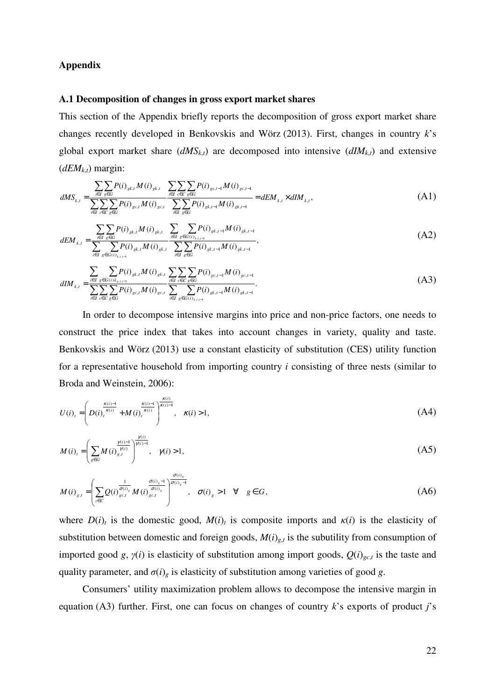## **Appendix**

## **A.1 Decomposition of changes in gross export market shares**

This section of the Appendix briefly reports the decomposition of gross export market share changes recently developed in Benkovskis and Wörz (2013). First, changes in country *k*'s global export market share  $(dMS_{k,t})$  are decomposed into intensive  $(dIM_{k,t})$  and extensive  $(dEM<sub>k,t</sub>)$  margin:

$$
dMS_{k,t} = \frac{\sum_{i \in I} \sum_{g \in G} P(i)_{gk,t} M(i)_{gk,t}}{\sum_{i \in I} \sum_{g \in G} \sum_{g \in G} P(i)_{gc,t} M(i)_{gc,t}} \frac{\sum_{i \in I} \sum_{c \in C} \sum_{g \in G} P(i)_{gc,t-M}(i)_{gc,t-1}}{\sum_{i \in I} \sum_{g \in G} P(i)_{gk,t-1} M(i)_{gk,t-1}} = dEM_{k,t} \times dIM_{k,t},
$$
\n(A1)

$$
dEM_{k,t} = \frac{\sum_{i \in I} \sum_{g \in G} P(i)_{gk,t} M(i)_{gk,t}}{\sum_{i \in I} \sum_{g \in G(i)_{k,t-1}} P(i)_{gk,t} M(i)_{gk,t}} \frac{\sum_{i \in I} \sum_{g \in G(i)_{k,t-1}} P(i)_{gk,t-1} M(i)_{gk,t-1}}{\sum_{i \in I} \sum_{g \in G} P(i)_{gk,t-1} M(i)_{gk,t-1}},
$$
\n(A2)

$$
dIM_{k,t} = \frac{\sum_{i \in I} \sum_{g \in G(i)k_{g,t-1}} P(i)_{gk,t} M(i)_{gk,t}}{\sum_{i \in I} \sum_{g \in G} \sum_{g \in G} P(i)_{gc,t} M(i)_{gc,t}} \frac{\sum_{i \in I} \sum_{c \in C} \sum_{g \in G} P(i)_{gc,t-1} M(i)_{gc,t-1}}{\sum_{i \in I} \sum_{g \in G(i)_{k,t-1}} \sum_{g \in G(i)_{k,t-1}} P(i)_{gk,t-1} M(i)_{gk,t-1}}.
$$
\n(A3)

In order to decompose intensive margins into price and non-price factors, one needs to construct the price index that takes into account changes in variety, quality and taste. Benkovskis and Wörz (2013) use a constant elasticity of substitution (CES) utility function for a representative household from importing country *i* consisting of three nests (similar to Broda and Weinstein, 2006):

$$
U(i)_t = \left( D(i)_t^{\frac{\kappa(i)-1}{\kappa(i)}} + M(i)_t^{\frac{\kappa(i)-1}{\kappa(i)}} \right)^{\frac{\kappa(i)}{\kappa(i)-1}}, \quad \kappa(i) > 1,
$$
 (A4)

$$
M(i)_{t} = \left(\sum_{g \in G} M(i) \frac{\gamma(i)-1}{\gamma(i)}\right)^{\frac{\gamma(i)}{\gamma(i)-1}}, \quad \gamma(i) > 1,
$$
 (A5)

$$
M(i)_{g,t} = \left(\sum_{c \in C} Q(i) \frac{\sigma(i)_{g}}{g_{c,t}} M(i) \frac{\sigma(i)_{g}}{\sigma(i)_{g}}\right)^{\frac{\sigma(i)_{g}}{\sigma(i)_{g}-1}}, \quad \sigma(i)_{g} > 1 \quad \forall \quad g \in G,
$$
 (A6)

where  $D(i)_t$  is the domestic good,  $M(i)_t$  is composite imports and  $\kappa(i)$  is the elasticity of substitution between domestic and foreign goods,  $M(i)_{g,t}$  is the subutility from consumption of imported good *g*, *γ*(*i*) is elasticity of substitution among import goods, *Q*(*i*)*gc*,*<sup>t</sup>* is the taste and quality parameter, and  $\sigma(i)$ <sub>g</sub> is elasticity of substitution among varieties of good *g*.

Consumers' utility maximization problem allows to decompose the intensive margin in equation (A3) further. First, one can focus on changes of country *k*'s exports of product *j*'s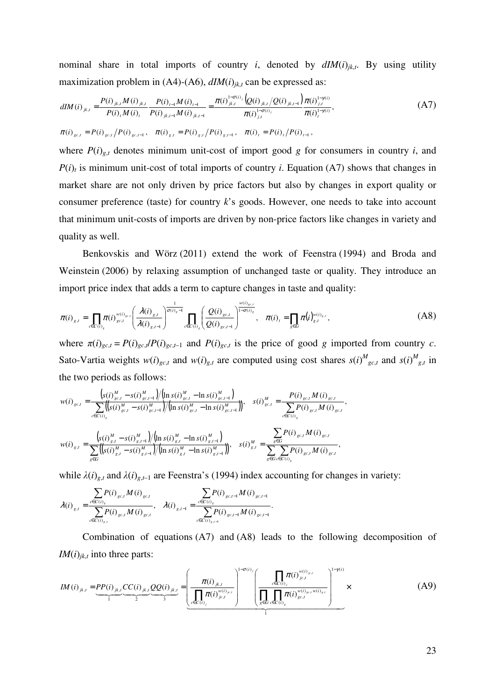nominal share in total imports of country *i*, denoted by  $dIM(i)_{jk,t}$ . By using utility maximization problem in  $(A4)-(A6)$ ,  $dIM(i)_{jk,t}$  can be expressed as:

$$
dIM(i)_{jk,t} = \frac{P(i)_{jk,t} M(i)_{jk,t}}{P(i)_t M(i)_t} \frac{P(i)_{t-1} M(i)_{t-1}}{P(i)_{jk,t-1} M(i)_{jk,t-1}} = \frac{\pi(i)_{jk,t}^{1-\sigma(i)} \left(Q(i)_{jk,t}\right) Q(i)_{jk,t-1}}{\pi(i)_{j,t}^{1-\sigma(i)}} \frac{\pi(i)_{jk,t-1}^{1-\sigma(i)}}{\pi(i)_t^{1-\gamma(i)}},
$$
\n(A7)\n
$$
\pi(i)_{g,c,t} = P(i)_{g,c,t} / P(i)_{g,c,t-1}, \quad \pi(i)_{g,t} = P(i)_{g,t} / P(i)_{g,t-1}, \quad \pi(i)_{t} = P(i)_{t} / P(i)_{t-1},
$$

where  $P(i)_{g,t}$  denotes minimum unit-cost of import good *g* for consumers in country *i*, and  $P(i)$ <sub>t</sub> is minimum unit-cost of total imports of country *i*. Equation (A7) shows that changes in market share are not only driven by price factors but also by changes in export quality or consumer preference (taste) for country *k*'s goods. However, one needs to take into account that minimum unit-costs of imports are driven by non-price factors like changes in variety and quality as well.

Benkovskis and Wörz (2011) extend the work of Feenstra (1994) and Broda and Weinstein (2006) by relaxing assumption of unchanged taste or quality. They introduce an import price index that adds a term to capture changes in taste and quality:

$$
\pi(i)_{g,t} = \prod_{c \in C(i)_g} \pi(i)_{g c,t}^{w(i)_{g c,t}} \left( \frac{\lambda(i)_{g,t}}{\lambda(i)_{g,t-1}} \right)^{\frac{1}{\sigma(i)_g-1}} \prod_{c \in C(i)_g} \left( \frac{Q(i)_{g c,t}}{Q(i)_{g c,t-1}} \right)^{\frac{w(i)_{g c,t}}{1-\sigma(i)_g}}, \quad \pi(i)_t = \prod_{g \in G} \pi(i)_{g,t}^{w(i)_{g,t}}, \tag{A8}
$$

where  $\pi(i)_{g} = P(i)_{g}P(i)_{g} = 1$  and  $P(i)_{g}$  is the price of good g imported from country c. Sato-Vartia weights  $w(i)_{gct}$  and  $w(i)_{g,t}$  are computed using cost shares  $s(i)\frac{M_{gct}}{gct}$  and  $s(i)\frac{M_{gct}}{gct}$  in the two periods as follows:

,

$$
w(i)_{g,c,t} = \frac{\left(s(i)\frac{M}{gc,t} - s(i)\frac{M}{gc,t-1}\right)/\left(\ln s(i)\frac{M}{gc,t} - \ln s(i)\frac{M}{gc,t-1}\right)}{\sum_{c \in C(i)_g} \left(\left(s(i)\frac{M}{gc,t} - s(i)\frac{M}{gc,t-1}\right)/\left(\ln s(i)\frac{M}{gc,t} - \ln s(i)\frac{M}{gc,t-1}\right)\right)}, \quad s(i)_{g,c,t}^M = \frac{P(i)_{gc,t} M(i)_{gc,t}}{\sum_{c \in C(i)_g} P(i)_{gc,t} M(i)_{gc,t}}
$$
  

$$
w(i)_{g,t} = \frac{\left(s(i)\frac{M}{g,t} - s(i)\frac{M}{g,t-1}\right)/\left(\ln s(i)\frac{M}{g,t} - \ln s(i)\frac{M}{g,t-1}\right)}{\sum_{g \in G} \left(\ln s(i)\frac{M}{g,t} - \ln s(i)\frac{M}{g,t-1}\right)}, \quad s(i)_{g,t}^M = \frac{\sum_{g \in G} P(i)_{gc,t} M(i)_{gc,t}}{\sum_{g \in G} \sum_{c \in C(i)_g} P(i)_{gc,t} M(i)_{gc,t}},
$$

while  $\lambda(i)_{g,t}$  and  $\lambda(i)_{g,t-1}$  are Feenstra's (1994) index accounting for changes in variety:

$$
\lambda(i)_{g,t} = \frac{\sum\limits_{c \in C(i)_g} P(i)_{g c,t} M(i)_{g c,t}}{\sum\limits_{c \in C(i)_{g,t}} P(i)_{g c,t} M(i)_{g c,t}}, \quad \lambda(i)_{g,t-1} = \frac{\sum\limits_{c \in C(i)_g} P(i)_{g c,t-1} M(i)_{g c,t-1}}{\sum\limits_{c \in C(i)_{g,t-1}} P(i)_{g c,t-1} M(i)_{g c,t-1}}
$$

Combination of equations (A7) and (A8) leads to the following decomposition of *IM* $(i)$ <sub>*jk*,*t*</sub> into three parts:

.

$$
IM(i)_{jk,t} = \underbrace{PP(i)_{jk,t}CC(i)_{jk,t}QQ(i)_{jk,t}}_{1} = \underbrace{\left(\frac{\pi(i)_{jk,t}}{\prod_{c \in C(i)} \pi(i)^{w(i)_{j \in t}}}\right)^{1-\sigma(i)} \left(\frac{\prod_{c \in C(i)} \pi(i)^{w(i)_{j \in t}}}{\prod_{g \in G} \prod_{c \in C(i)_{g}}} \pi(i)^{w(i)_{g \in t}}\right)^{1-\gamma(i)}}_{1} \times \tag{A9}
$$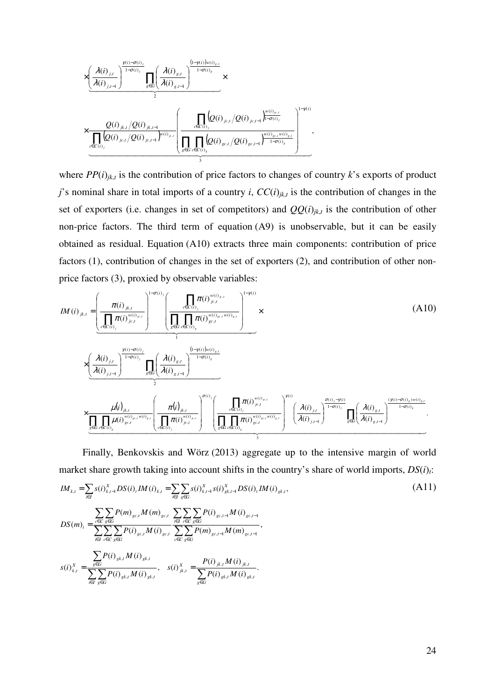

where  $PP(i)_{jk,t}$  is the contribution of price factors to changes of country  $k$ 's exports of product *j*'s nominal share in total imports of a country *i*,  $CC(i)_{jk,t}$  is the contribution of changes in the set of exporters (i.e. changes in set of competitors) and  $QQ(i)_{jk,t}$  is the contribution of other non-price factors. The third term of equation (A9) is unobservable, but it can be easily obtained as residual. Equation (A10) extracts three main components: contribution of price factors (1), contribution of changes in the set of exporters (2), and contribution of other nonprice factors (3), proxied by observable variables:

$$
IM (i)_{jk,l} = \left( \frac{\pi(i)_{jk,l}}{\prod_{c \in C(i)_j} \pi(i)^{w(i)_{k,l}}}\right)^{1-\sigma(i)} \left( \frac{\prod_{c \in C(i)_j} \pi(i)^{w(i)_{c,l}}}{\prod_{g \in G} \pi(i)^{w(i)_{g,c,l}w(i)_{s,l}}}\right)^{1-\gamma(i)} \times \left( \frac{\lambda(i)_{j,l}}{\lambda(i)_{j,l-1}}\right)^{\frac{\gamma(i)-\sigma(i)_j}{1-\sigma(i)_j}} \frac{\left(\frac{\lambda(i)_{j,l}}{\lambda(i)_{j,l-1}}\right)^{1-\gamma(i)_{j}}}{\frac{\gamma(i)-\sigma(i)_j}{1-\sigma(i)_j}} \prod_{g \in G} \left( \frac{\lambda(i)_{g,l}}{\lambda(i)_{g,l-1}}\right)^{w(i)_{g,l}} \times \left( \frac{\lambda(i)_{j,l}}{\lambda(i)_{j,l-1}}\right)^{\frac{\gamma(i)-\sigma(i)_j}{1-\sigma(i)_j}} \frac{\left(\frac{\lambda(i)_{j,l}}{\lambda(i)_{j,l-1}}\right)^{w(i)_{j,l-1}}}{\left(\frac{\lambda(i)_{jk,l}}{\lambda(i)_{j,l-1}}\right)^{\sigma(i)_{j,l}}} \times \frac{\mu(i)_{jk,l}}{\left(\frac{\lambda(i)_{j,l}}{\prod_{g \in G} \pi(i)^{w(i)_{j,c,l}w(i)_{s,l}}}\right)^{\gamma(i)} \left(\frac{\lambda(i)_{j,l}}{\lambda(i)_{j,l-1}}\right)^{\gamma(i)} \prod_{g \in G} \left( \frac{\lambda(i)_{j,l}}{\lambda(i)_{j,l-1}}\right)^{\frac{\sigma(i)-\gamma(i)}{1-\sigma(i)_j}} \prod_{g \in G} \left( \frac{\lambda(i)_{g,l}}{\lambda(i)_{g,l-1}}\right)^{\frac{\gamma(i)-\sigma(i)_j}{1-\sigma(i)_j}}.
$$
\n(A10)

Finally, Benkovskis and Wörz (2013) aggregate up to the intensive margin of world market share growth taking into account shifts in the country's share of world imports, *DS*(*i*)*t*:

3

$$
IM_{k,t} = \sum_{i \in I} s(i)_{k,t-1}^{X} DS(i)_{t} IM(i)_{k,t} = \sum_{i \in I} \sum_{g \in G} s(i)_{k,t-1}^{X} s(i)_{g,k,t-1}^{X} DS(i)_{t} IM(i)_{g,k,t},
$$
\n(A11)  
\n
$$
DS(m)_{t} = \frac{\sum_{e \in C} \sum_{g \in G} P(m)_{g \in J} M(m)_{g \in J}}{\sum_{i \in I} \sum_{e \in C} \sum_{g \in G} P(i)_{g \in J} M(i)_{g \in J}} \sum_{e \in C} \sum_{g \in G} P(m)_{g \in J-1} M(m)_{g \in J-1},
$$
\n
$$
s(i)_{k,t}^{X} = \frac{\sum_{g \in G} P(i)_{g,k,t} M(i)_{g,k,t}}{\sum_{i \in I} \sum_{g \in G} P(i)_{g,k,t} M(i)_{g,k,t}}, \quad s(i)_{j,k,t}^{X} = \frac{P(i)_{j,k,t} M(i)_{j,k,t}}{\sum_{g \in G} P(i)_{g,k,t} M(i)_{g,k,t}}.
$$
\n(A11)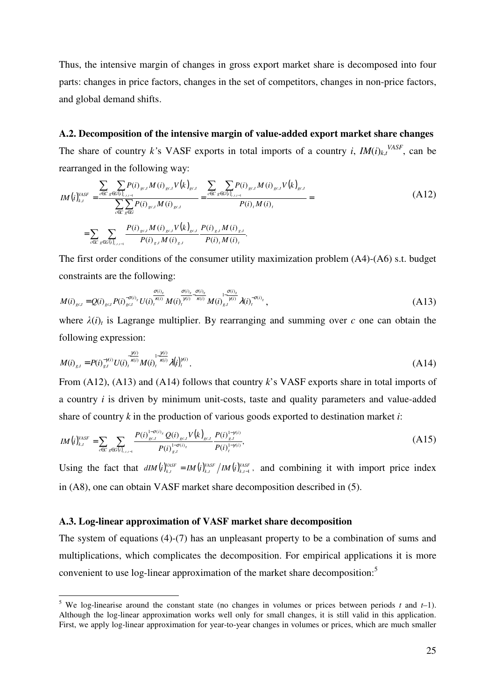Thus, the intensive margin of changes in gross export market share is decomposed into four parts: changes in price factors, changes in the set of competitors, changes in non-price factors, and global demand shifts.

## **A.2. Decomposition of the intensive margin of value-added export market share changes**

The share of country *k*'s VASF exports in total imports of a country *i*,  $IM(i)_{k,t}$ <sup>VASF</sup>, can be rearranged in the following way:

$$
IM(i)_{k,t}^{VASF} = \frac{\sum_{c \in C} \sum_{g \in G(i)_{c,t,t-1}} P(i)_{g c,t} M(i)_{g c,t} V(k)_{g c,t}}{\sum_{c \in C} \sum_{g \in G} P(i)_{g c,t} M(i)_{g c,t}} = \frac{\sum_{c \in C} \sum_{g \in G(i)_{c,t,t-1}} P(i)_{g c,t} M(i)_{g c,t}}{P(i), M(i),}
$$
\n
$$
= \sum_{c \in C} \sum_{g \in G(i)_{c,t,t-1}} \frac{P(i)_{g c,t} M(i)_{g c,t} V(k)_{g c,t}}{P(i)_{g,t} M(i)_{g,t}} = \frac{P(i)_{g,t} M(i)_{g,t}}{P(i), M(i),}
$$
\n(A12)

The first order conditions of the consumer utility maximization problem (A4)-(A6) s.t. budget constraints are the following:

$$
M(i)_{gct} = Q(i)_{gct} P(i)_{gct}^{\sigma(i)_s} U(i)_{t}^{\pi(i)} M(i)_{t}^{\pi(i)} M(i)_{t}^{\pi(i)} M(i)_{s,t}^{\sigma(i)_s} M(i)_{s}^{\pi(i)} \lambda(i)_{t}^{\sigma(i)_s}, \qquad (A13)
$$

where  $\lambda(i)$ <sub>t</sub> is Lagrange multiplier. By rearranging and summing over *c* one can obtain the following expression:

$$
M(i)_{g,t} = P(i)_{g,t}^{-\gamma(i)} U(i)_{t}^{\frac{\gamma(i)}{\kappa(i)}} M(i)_{t}^{1-\frac{\gamma(i)}{\kappa(i)}} \lambda(i)_{t}^{\gamma(i)}.
$$
\n(A14)

From (A12), (A13) and (A14) follows that country *k*'s VASF exports share in total imports of a country *i* is driven by minimum unit-costs, taste and quality parameters and value-added share of country *k* in the production of various goods exported to destination market *i*:

$$
IM(i)_{k,t}^{VASF} = \sum_{c \in C} \sum_{g \in G(i)_{c,t,t-1}} \frac{P(i)_{gc,t}^{1-\sigma(i)} Q(i)_{gc,t} V(k)_{gc,t}}{P(i)_{g,t}^{1-\sigma(i)} P(i)_{g,t}^{1-\gamma(i)}} \tag{A15}
$$

Using the fact that  $dIM(i)_{k,t}^{VASF} = IM(i)_{k,t}^{VASF}/IM(i)_{k,t-1}^{VASF}$ , and combining it with import price index in (A8), one can obtain VASF market share decomposition described in (5).

#### **A.3. Log-linear approximation of VASF market share decomposition**

The system of equations (4)-(7) has an unpleasant property to be a combination of sums and multiplications, which complicates the decomposition. For empirical applications it is more convenient to use log-linear approximation of the market share decomposition:<sup>5</sup>

 5 We log-linearise around the constant state (no changes in volumes or prices between periods *t* and *t*–1). Although the log-linear approximation works well only for small changes, it is still valid in this application. First, we apply log-linear approximation for year-to-year changes in volumes or prices, which are much smaller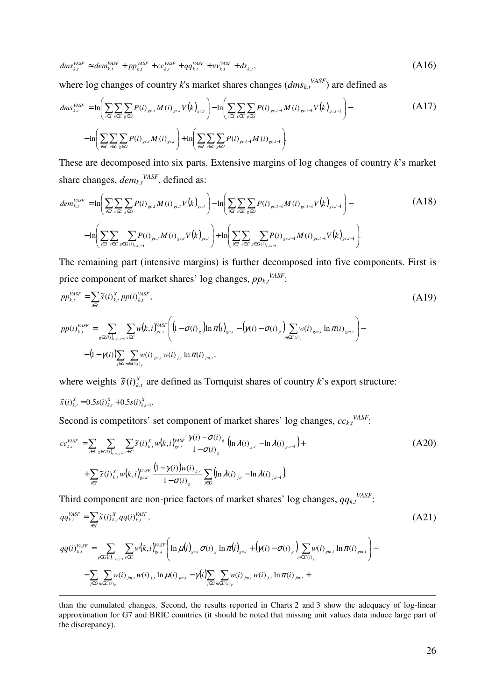$$
dms_{k,t}^{VASF} \approx dem_{k,t}^{VASF} + pp_{k,t}^{VASF} + cc_{k,t}^{VASF} + qq_{k,t}^{VASF} + vv_{k,t}^{VASF} + ds_{k,t},
$$
\n(A16)

where log changes of country *k*'s market shares changes  $(dms_{k,t}^{VASF})$  are defined as

$$
dms_{k,t}^{VASF} = \ln\left(\sum_{i\in I}\sum_{c\in C}\sum_{g\in G}P(i)_{gc,t}M(i)_{gc,t}V(k)_{gc,t}\right) - \ln\left(\sum_{i\in I}\sum_{c\in C}\sum_{g\in G}P(i)_{gc,t-1}M(i)_{gc,t-1}V(k)_{gc,t-1}\right) - \ln\left(\sum_{i\in I}\sum_{c\in C}\sum_{g\in G}P(i)_{gc,t}M(i)_{gc,t-1}M(i)_{gc,t-1}M(i)_{gc,t-1}\right) - \ln\left(\sum_{i\in I}\sum_{c\in C}\sum_{g\in G}P(i)_{gc,t}M(i)_{gc,t-1}M(i)_{gc,t-1}M(i)_{gc,t-1}\right) - \ln\left(\sum_{i\in I}\sum_{c\in C}\sum_{g\in G}P(i)_{gc,t}M(i)_{gc,t-1}M(i)_{gc,t-1}M(i)_{gc,t-1}M(i)_{gc,t-1}\right) - \ln\left(\sum_{i\in I}\sum_{c\in C}\sum_{g\in G}P(i)_{gc,t}M(i)_{gc,t-1}M(i)_{gc,t-1}M(i)_{gc,t-1}M(i)_{gc,t-1}M(i)_{gc,t-1}M(i)_{gc,t-1}M(i)_{gc,t-1}M(i)_{gc,t-1}M(i)_{gc,t-1}M(i)_{gc,t-1}M(i)_{gc,t-1}M(i)_{gc,t-1}M(i)_{gc,t-1}M(i)_{gc,t-1}M(i)_{gc,t-1}M(i)_{gc,t-1}M(i)_{gc,t-1}M(i)_{gc,t-1}M(i)_{gc,t-1}M(i)_{gc,t-1}M(i)_{gc,t-1}M(i)_{gc,t-1}M(i)_{gc,t-1}M(i)_{gc,t-1}M(i)_{gc,t-1}M(i)_{gc,t-1}M(i)_{gc,t-1}M(i)_{gc,t-1}M(i)_{gc,t-1}M(i)_{gc,t-1}M(i)_{gc,t-1}M(i)_{gc,t-1}M(i)_{gc,t-1}M(i)_{gc,t-1}M(i)_{gc,t-1}M(i)_{gc,t-1}M(i)_{gc,t-1}M(i)_{gc,t-1}M(i)_{gc,t-1}M(i)_{gc,t-1}M(i)_{gc,t-1}M(i)_{gc,t-1}M(i)_{gc,t-1}M(i)_{gc,t-1}M(i)_{gc,t-1}M(i)_{gc
$$

These are decomposed into six parts. Extensive margins of log changes of country *k*'s market share changes,  $dem_{k,t}^{VASF}$ , defined as:

$$
dem_{k,t}^{VASF} = \ln \left( \sum_{i \in I} \sum_{c \in C} \sum_{g \in G} P(i)_{g c, t} M(i)_{g c, t} V(k)_{g c, t} \right) - \ln \left( \sum_{i \in I} \sum_{c \in C} \sum_{g \in G} P(i)_{g c, t-1} M(i)_{g c, t-1} V(k)_{g c, t-1} \right) - \ln \left( \sum_{i \in I} \sum_{c \in C} \sum_{g \in G(i)_{c, t, t-1}} P(i)_{g c, t} V(k)_{g c, t} \right) + \ln \left( \sum_{i \in I} \sum_{c \in C} \sum_{g \in G(i)_{c, t, t-1}} P(i)_{g c, t-1} M(i)_{g c, t-1} V(k)_{g c, t-1} \right).
$$
\n(A18)

The remaining part (intensive margins) is further decomposed into five components. First is price component of market shares' log changes, *pp<sup>k</sup>*,*<sup>t</sup> VASF* :

$$
pp_{k,t}^{VASF} = \sum_{i \in I} \tilde{s}(i)_{k,t}^{X} pp(i)_{k,t}^{VASF},
$$
\n
$$
pp(i)_{k,t}^{VASF} = \sum_{g \in G(i)_{c,y,y-1}} \sum_{c \in C} w(k,i)_{g c,t}^{VASF} \left( \left( 1 - \sigma(i)_{g} \right) \ln \pi(i)_{g c,t} - \left( \gamma(i) - \sigma(i)_{g} \right) \sum_{m \in C(i)_{j}} w(i)_{g m,t} \ln \pi(i)_{g m,t} \right) -
$$
\n(A19)

(1 )( ) )( )( ln )( , ( ) ∑ ∑ , , , ∈ ∈ − − *j i G m C jm t tj jm t g* γ *i w i w i* <sup>π</sup> *i*

where weights  $\tilde{s}(i)_{k,t}^X$  are defined as Tornquist shares of country *k*'s export structure:

$$
\widetilde{s}(i)_{k,t}^{X} = 0.5s(i)_{k,t}^{X} + 0.5s(i)_{k,t-1}^{X}.
$$

 $\overline{a}$ 

Second is competitors' set component of market shares' log changes,  $cc_{k,t}^{VASF}$ .

$$
cc_{k,t}^{\text{VAST}} = \sum_{i \in I} \sum_{g \in G(i)_{c,y,y-1}} \sum_{c \in C} \tilde{s}(i)_{k,t}^{X} w(k,i)_{g c,t}^{\text{VAST}} \frac{\gamma(i) - \sigma(i)_{g}}{1 - \sigma(i)_{g}} \left( \ln \lambda(i)_{g,t} - \ln \lambda(i)_{g,t-1} \right) + + \sum_{i \in I} \tilde{s}(i)_{k,t}^{X} w(k,i)_{g c,t}^{\text{VAST}} \frac{\left(1 - \gamma(i)\right) w(i)_{g,t}}{1 - \sigma(i)_{g}} \sum_{j \in G} \left( \ln \lambda(i)_{j,t} - \ln \lambda(i)_{j,t-1} \right)
$$
(A20)

Third component are non-price factors of market shares' log changes,  $qq_{k,t}^{VASF}$ .

$$
qq_{k,t}^{VASF} = \sum_{i \in I} \tilde{s}(i)_{k,t}^{X} qq(i)_{k,t}^{VASF},
$$
\n
$$
qq(i)_{k,t}^{VASF} = \sum_{g \in G(i)_{c,y,y=1}} \sum_{c \in C} w(k,i)_{g \in J}^{VASF} \left( \ln \mu(i)_{g \in J} \sigma(i)_{g} \ln \pi(i)_{g \in J} + (\gamma(i) - \sigma(i)_{g}) \sum_{m \in C(i)_{j}} w(i)_{g m, J} \ln \pi(i)_{g m, J} \right) -
$$
\n(A21)

$$
\sum_{j \in G} \sum_{m \in C(i)_{s}} w(i)_{j,m,t} w(i)_{j,t} \ln \mu(i)_{j,m,t} - \gamma(i) \sum_{j \in G} \sum_{m \in C(i)_{s}} w(i)_{j,m,t} w(i)_{j,t} \ln \pi(i)_{j,m,t} +
$$

than the cumulated changes. Second, the results reported in Charts 2 and 3 show the adequacy of log-linear approximation for G7 and BRIC countries (it should be noted that missing unit values data induce large part of the discrepancy).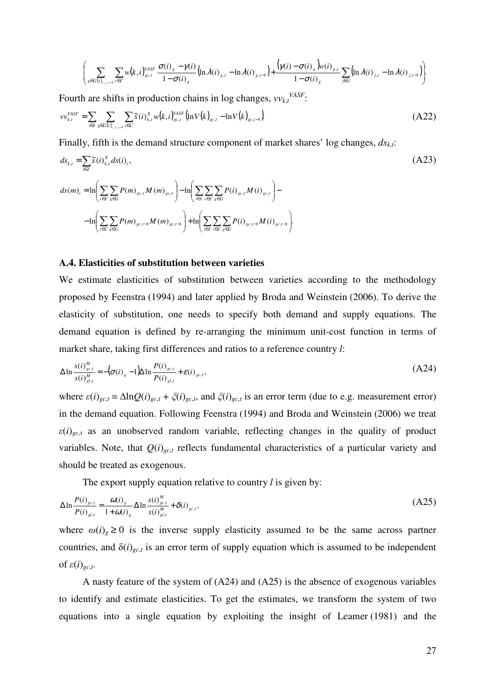$$
\left(\sum_{g\in G(i)_{c,y,y-1}}\sum_{c\in C}w(k,i)_{g\in J}^{VASF}\frac{\sigma(i)_{g}-\gamma(i)}{1-\sigma(i)_{g}}\left(\ln\lambda(i)_{g,I}-\ln\lambda(i)_{g,I-1}\right)+\frac{(\gamma(i)-\sigma(i)_{g})w(i)_{g,I}}{1-\sigma(i)_{g}}\sum_{j\in G}\left(\ln\lambda(i)_{j,I}-\ln\lambda(i)_{j,I-1}\right)\right).
$$

Fourth are shifts in production chains in log changes,  $v v_{k,t}^{VASF}$ .

$$
\nu v_{k,t}^{\text{VAST}} = \sum_{i \in I} \sum_{g \in G(i)_{c,y,y-1}} \sum_{c \in C} \tilde{s}(i)_{k,t}^X w(k,i)_{gc,t}^{\text{VAST}} \left( \ln V(k)_{gc,t} - \ln V(k)_{gc,t-1} \right)
$$
\n(A22)

Finally, fifth is the demand structure component of market shares' log changes, *ds<sup>k</sup>*,*<sup>t</sup>*:

$$
ds_{k,t} = \sum_{i \in I} \tilde{s}(i)_{k,t}^{X} ds(i)_{t},
$$
\n
$$
ds(m)_{t} = \ln \left( \sum_{c \in C} \sum_{g \in G} P(m)_{gc,t} M(m)_{gc,t} \right) - \ln \left( \sum_{i \in I} \sum_{c \in C} \sum_{g \in G} P(i)_{gc,t} M(i)_{gc,t} \right) - \ln \left( \sum_{c \in C} \sum_{g \in G} P(m)_{gc,t-1} M(m)_{gc,t-1} \right) + \ln \left( \sum_{i \in I} \sum_{c \in C} \sum_{g \in G} P(i)_{gc,t-1} M(i)_{gc,t-1} \right).
$$
\n(A23)

#### **A.4. Elasticities of substitution between varieties**

We estimate elasticities of substitution between varieties according to the methodology proposed by Feenstra (1994) and later applied by Broda and Weinstein (2006). To derive the elasticity of substitution, one needs to specify both demand and supply equations. The demand equation is defined by re-arranging the minimum unit-cost function in terms of market share, taking first differences and ratios to a reference country *l*:

$$
\Delta \ln \frac{s(i)_{gcl}^{M}}{s(i)_{gcl}^{M}} = -\left(\sigma(i)_{g} - 1\right) \Delta \ln \frac{P(i)_{gcl}}{P(i)_{gcl}} + \varepsilon(i)_{gcl},\tag{A24}
$$

where  $\varepsilon(i)_{g,c,t} = \Delta \ln Q(i)_{g,c,t} + \zeta(i)_{g,c,t}$ , and  $\zeta(i)_{g,c,t}$  is an error term (due to e.g. measurement error) in the demand equation. Following Feenstra (1994) and Broda and Weinstein (2006) we treat  $\varepsilon(i)_{gct}$  as an unobserved random variable, reflecting changes in the quality of product variables. Note, that  $Q(i)_{g,c,t}$  reflects fundamental characteristics of a particular variety and should be treated as exogenous.

The export supply equation relative to country *l* is given by:

$$
\Delta \ln \frac{P(i)_{g c,t}}{P(i)_{g l,t}} = \frac{\omega(i)_g}{1 + \omega(i)_g} \Delta \ln \frac{s(i)_{g c,t}^M}{s(i)_{g l,t}^M} + \delta(i)_{g c,t},
$$
\n(A25)

where  $\omega(i)$ <sub>g</sub>  $\geq 0$  is the inverse supply elasticity assumed to be the same across partner countries, and  $\delta(i)_{g,c,t}$  is an error term of supply equation which is assumed to be independent of *ε*(*i*)*gc*,*<sup>t</sup>* .

A nasty feature of the system of (A24) and (A25) is the absence of exogenous variables to identify and estimate elasticities. To get the estimates, we transform the system of two equations into a single equation by exploiting the insight of Leamer (1981) and the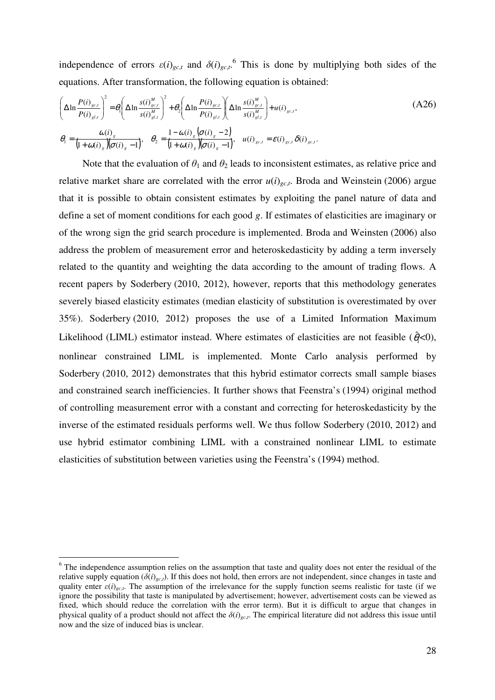independence of errors  $\varepsilon(i)_{gc,t}$  and  $\delta(i)_{gc,t}$ <sup>6</sup>. This is done by multiplying both sides of the equations. After transformation, the following equation is obtained:

$$
\left(\Delta \ln \frac{P(i)_{gcl}}{P(i)_{gl,t}}\right)^{2} = \theta_{i} \left(\Delta \ln \frac{s(i)_{gcl}^{M}}{s(i)_{gl,t}^{M}}\right)^{2} + \theta_{2} \left(\Delta \ln \frac{P(i)_{gcl}}{P(i)_{gl,t}}\right) \left(\Delta \ln \frac{s(i)_{gcl}^{M}}{s(i)_{gl,t}^{M}}\right) + u(i)_{gcl},
$$
\n
$$
\theta_{i} = \frac{\omega(i)_{g}}{\left(1 + \omega(i)_{g}\right)\left(\sigma(i)_{g} - 1\right)}, \quad \theta_{2} = \frac{1 - \omega(i)_{g}\left(\sigma(i)_{g} - 2\right)}{\left(1 + \omega(i)_{g}\right)\left(\sigma(i)_{g} - 1\right)}, \quad u(i)_{gcl} = \varepsilon(i)_{gcl}, \delta(i)_{gcl}.
$$
\n(A26)

Note that the evaluation of  $\theta_1$  and  $\theta_2$  leads to inconsistent estimates, as relative price and relative market share are correlated with the error  $u(i)_{g,c,t}$ . Broda and Weinstein (2006) argue that it is possible to obtain consistent estimates by exploiting the panel nature of data and define a set of moment conditions for each good *g*. If estimates of elasticities are imaginary or of the wrong sign the grid search procedure is implemented. Broda and Weinsten (2006) also address the problem of measurement error and heteroskedasticity by adding a term inversely related to the quantity and weighting the data according to the amount of trading flows. A recent papers by Soderbery (2010, 2012), however, reports that this methodology generates severely biased elasticity estimates (median elasticity of substitution is overestimated by over 35%). Soderbery (2010, 2012) proposes the use of a Limited Information Maximum Likelihood (LIML) estimator instead. Where estimates of elasticities are not feasible  $(\hat{q} < 0)$ , nonlinear constrained LIML is implemented. Monte Carlo analysis performed by Soderbery (2010, 2012) demonstrates that this hybrid estimator corrects small sample biases and constrained search inefficiencies. It further shows that Feenstra's (1994) original method of controlling measurement error with a constant and correcting for heteroskedasticity by the inverse of the estimated residuals performs well. We thus follow Soderbery (2010, 2012) and use hybrid estimator combining LIML with a constrained nonlinear LIML to estimate elasticities of substitution between varieties using the Feenstra's (1994) method.

 $\overline{a}$ 

<sup>&</sup>lt;sup>6</sup> The independence assumption relies on the assumption that taste and quality does not enter the residual of the relative supply equation ( $\delta(i)_{gc,t}$ ). If this does not hold, then errors are not independent, since changes in taste and quality enter  $\varepsilon(i)_{g,c}$ . The assumption of the irrelevance for the supply function seems realistic for taste (if we ignore the possibility that taste is manipulated by advertisement; however, advertisement costs can be viewed as fixed, which should reduce the correlation with the error term). But it is difficult to argue that changes in physical quality of a product should not affect the *δ*(*i*)*gc*,*<sup>t</sup>* . The empirical literature did not address this issue until now and the size of induced bias is unclear.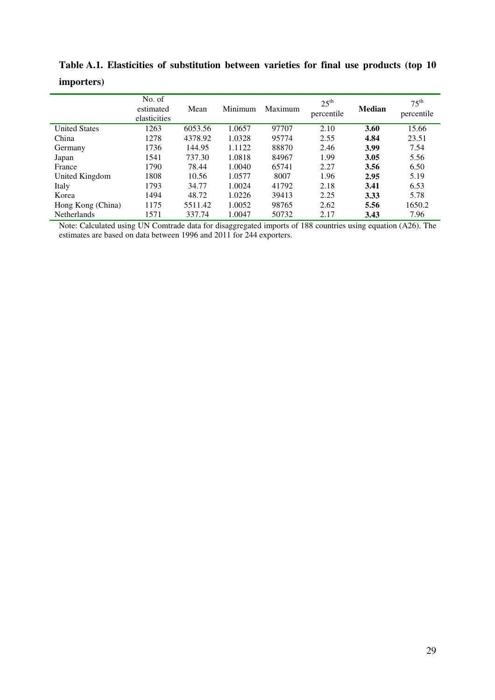|                      | No. of<br>estimated<br>elasticities | Mean    | Minimum | Maximum | $25^{\text{th}}$<br>percentile | Median | $75^{\text{th}}$<br>percentile |
|----------------------|-------------------------------------|---------|---------|---------|--------------------------------|--------|--------------------------------|
| <b>United States</b> | 1263                                | 6053.56 | 1.0657  | 97707   | 2.10                           | 3.60   | 15.66                          |
| China                | 1278                                | 4378.92 | 1.0328  | 95774   | 2.55                           | 4.84   | 23.51                          |
| Germany              | 1736                                | 144.95  | 1.1122  | 88870   | 2.46                           | 3.99   | 7.54                           |
| Japan                | 1541                                | 737.30  | 1.0818  | 84967   | 1.99                           | 3.05   | 5.56                           |
| France               | 1790                                | 78.44   | 1.0040  | 65741   | 2.27                           | 3.56   | 6.50                           |
| United Kingdom       | 1808                                | 10.56   | 1.0577  | 8007    | 1.96                           | 2.95   | 5.19                           |
| Italy                | 1793                                | 34.77   | 1.0024  | 41792   | 2.18                           | 3.41   | 6.53                           |
| Korea                | 1494                                | 48.72   | 1.0226  | 39413   | 2.25                           | 3.33   | 5.78                           |
| Hong Kong (China)    | 1175                                | 5511.42 | 1.0052  | 98765   | 2.62                           | 5.56   | 1650.2                         |
| <b>Netherlands</b>   | 1571                                | 337.74  | 1.0047  | 50732   | 2.17                           | 3.43   | 7.96                           |

**Table A.1. Elasticities of substitution between varieties for final use products (top 10 importers)** 

Note: Calculated using UN Comtrade data for disaggregated imports of 188 countries using equation (A26). The estimates are based on data between 1996 and 2011 for 244 exporters.